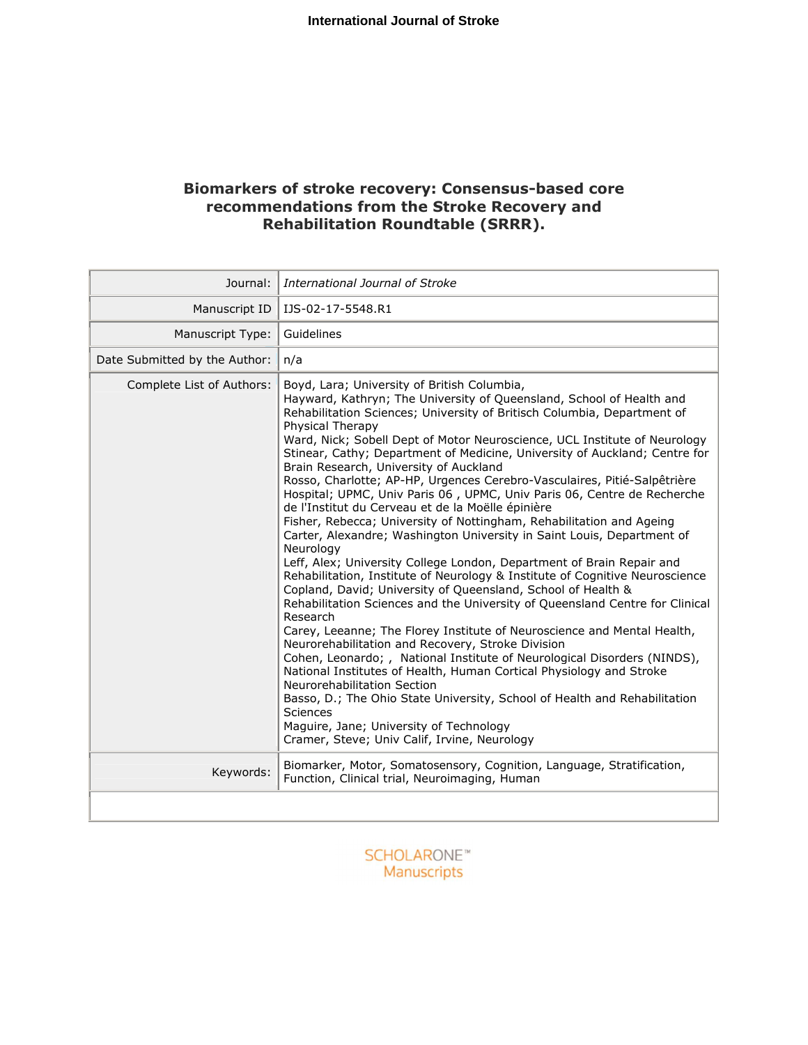# **Biomarkers of stroke recovery: Consensus-based core recommendations from the Stroke Recovery and Rehabilitation Roundtable (SRRR).**

| Journal:<br>International Journal of Stroke |                                                                                                                                                                                                                                                                                                                                                                                                                                                                                                                                                                                                                                                                                                                                                                                                                                                                                                                                                                                                                                                                                                                                                                                                                                                                                                                                                                                                                                                                                                                                                                                                                                      |  |
|---------------------------------------------|--------------------------------------------------------------------------------------------------------------------------------------------------------------------------------------------------------------------------------------------------------------------------------------------------------------------------------------------------------------------------------------------------------------------------------------------------------------------------------------------------------------------------------------------------------------------------------------------------------------------------------------------------------------------------------------------------------------------------------------------------------------------------------------------------------------------------------------------------------------------------------------------------------------------------------------------------------------------------------------------------------------------------------------------------------------------------------------------------------------------------------------------------------------------------------------------------------------------------------------------------------------------------------------------------------------------------------------------------------------------------------------------------------------------------------------------------------------------------------------------------------------------------------------------------------------------------------------------------------------------------------------|--|
| Manuscript ID                               | IJS-02-17-5548.R1                                                                                                                                                                                                                                                                                                                                                                                                                                                                                                                                                                                                                                                                                                                                                                                                                                                                                                                                                                                                                                                                                                                                                                                                                                                                                                                                                                                                                                                                                                                                                                                                                    |  |
| Manuscript Type:                            | Guidelines                                                                                                                                                                                                                                                                                                                                                                                                                                                                                                                                                                                                                                                                                                                                                                                                                                                                                                                                                                                                                                                                                                                                                                                                                                                                                                                                                                                                                                                                                                                                                                                                                           |  |
| Date Submitted by the Author:               | n/a                                                                                                                                                                                                                                                                                                                                                                                                                                                                                                                                                                                                                                                                                                                                                                                                                                                                                                                                                                                                                                                                                                                                                                                                                                                                                                                                                                                                                                                                                                                                                                                                                                  |  |
| Complete List of Authors:                   | Boyd, Lara; University of British Columbia,<br>Hayward, Kathryn; The University of Queensland, School of Health and<br>Rehabilitation Sciences; University of Britisch Columbia, Department of<br>Physical Therapy<br>Ward, Nick; Sobell Dept of Motor Neuroscience, UCL Institute of Neurology<br>Stinear, Cathy; Department of Medicine, University of Auckland; Centre for<br>Brain Research, University of Auckland<br>Rosso, Charlotte; AP-HP, Urgences Cerebro-Vasculaires, Pitié-Salpêtrière<br>Hospital; UPMC, Univ Paris 06, UPMC, Univ Paris 06, Centre de Recherche<br>de l'Institut du Cerveau et de la Moëlle épinière<br>Fisher, Rebecca; University of Nottingham, Rehabilitation and Ageing<br>Carter, Alexandre; Washington University in Saint Louis, Department of<br>Neurology<br>Leff, Alex; University College London, Department of Brain Repair and<br>Rehabilitation, Institute of Neurology & Institute of Cognitive Neuroscience<br>Copland, David; University of Queensland, School of Health &<br>Rehabilitation Sciences and the University of Queensland Centre for Clinical<br>Research<br>Carey, Leeanne; The Florey Institute of Neuroscience and Mental Health,<br>Neurorehabilitation and Recovery, Stroke Division<br>Cohen, Leonardo; , National Institute of Neurological Disorders (NINDS),<br>National Institutes of Health, Human Cortical Physiology and Stroke<br>Neurorehabilitation Section<br>Basso, D.; The Ohio State University, School of Health and Rehabilitation<br><b>Sciences</b><br>Maguire, Jane; University of Technology<br>Cramer, Steve; Univ Calif, Irvine, Neurology |  |
| Keywords:                                   | Biomarker, Motor, Somatosensory, Cognition, Language, Stratification,<br>Function, Clinical trial, Neuroimaging, Human                                                                                                                                                                                                                                                                                                                                                                                                                                                                                                                                                                                                                                                                                                                                                                                                                                                                                                                                                                                                                                                                                                                                                                                                                                                                                                                                                                                                                                                                                                               |  |
|                                             |                                                                                                                                                                                                                                                                                                                                                                                                                                                                                                                                                                                                                                                                                                                                                                                                                                                                                                                                                                                                                                                                                                                                                                                                                                                                                                                                                                                                                                                                                                                                                                                                                                      |  |

**SCHOLARONE**™ Manuscripts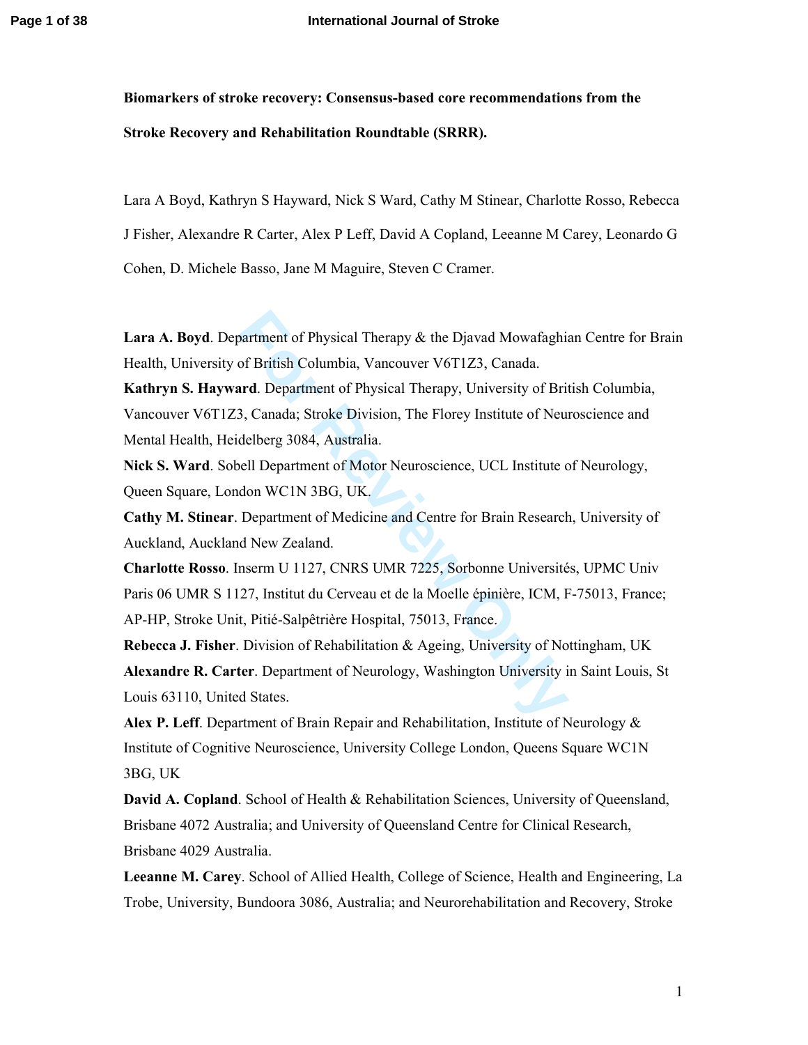**Biomarkers of stroke recovery: Consensus-based core recommendations from the Stroke Recovery and Rehabilitation Roundtable (SRRR).** 

Lara A Boyd, Kathryn S Hayward, Nick S Ward, Cathy M Stinear, Charlotte Rosso, Rebecca J Fisher, Alexandre R Carter, Alex P Leff, David A Copland, Leeanne M Carey, Leonardo G Cohen, D. Michele Basso, Jane M Maguire, Steven C Cramer.

**Lara A. Boyd**. Department of Physical Therapy & the Djavad Mowafaghian Centre for Brain Health, University of British Columbia, Vancouver V6T1Z3, Canada.

**Kathryn S. Hayward**. Department of Physical Therapy, University of British Columbia, Vancouver V6T1Z3, Canada; Stroke Division, The Florey Institute of Neuroscience and Mental Health, Heidelberg 3084, Australia.

**Nick S. Ward**. Sobell Department of Motor Neuroscience, UCL Institute of Neurology, Queen Square, London WC1N 3BG, UK.

**Cathy M. Stinear**. Department of Medicine and Centre for Brain Research, University of Auckland, Auckland New Zealand.

partment of Physical Therapy & the Djavad Mowafaghis<br>of British Columbia, Vancouver V6T1Z3, Canada.<br>**Ard**. Department of Physical Therapy, University of Bri<br>3, Canada; Stroke Division, The Florey Institute of Neu<br>delberg 3 **Charlotte Rosso**. Inserm U 1127, CNRS UMR 7225, Sorbonne Universités, UPMC Univ Paris 06 UMR S 1127, Institut du Cerveau et de la Moelle épinière, ICM, F-75013, France; AP-HP, Stroke Unit, Pitié-Salpêtrière Hospital, 75013, France.

**Rebecca J. Fisher**. Division of Rehabilitation & Ageing, University of Nottingham, UK **Alexandre R. Carter**. Department of Neurology, Washington University in Saint Louis, St Louis 63110, United States.

**Alex P. Leff**. Department of Brain Repair and Rehabilitation, Institute of Neurology & Institute of Cognitive Neuroscience, University College London, Queens Square WC1N 3BG, UK

**David A. Copland**. School of Health & Rehabilitation Sciences, University of Queensland, Brisbane 4072 Australia; and University of Queensland Centre for Clinical Research, Brisbane 4029 Australia.

**Leeanne M. Carey**. School of Allied Health, College of Science, Health and Engineering, La Trobe, University, Bundoora 3086, Australia; and Neurorehabilitation and Recovery, Stroke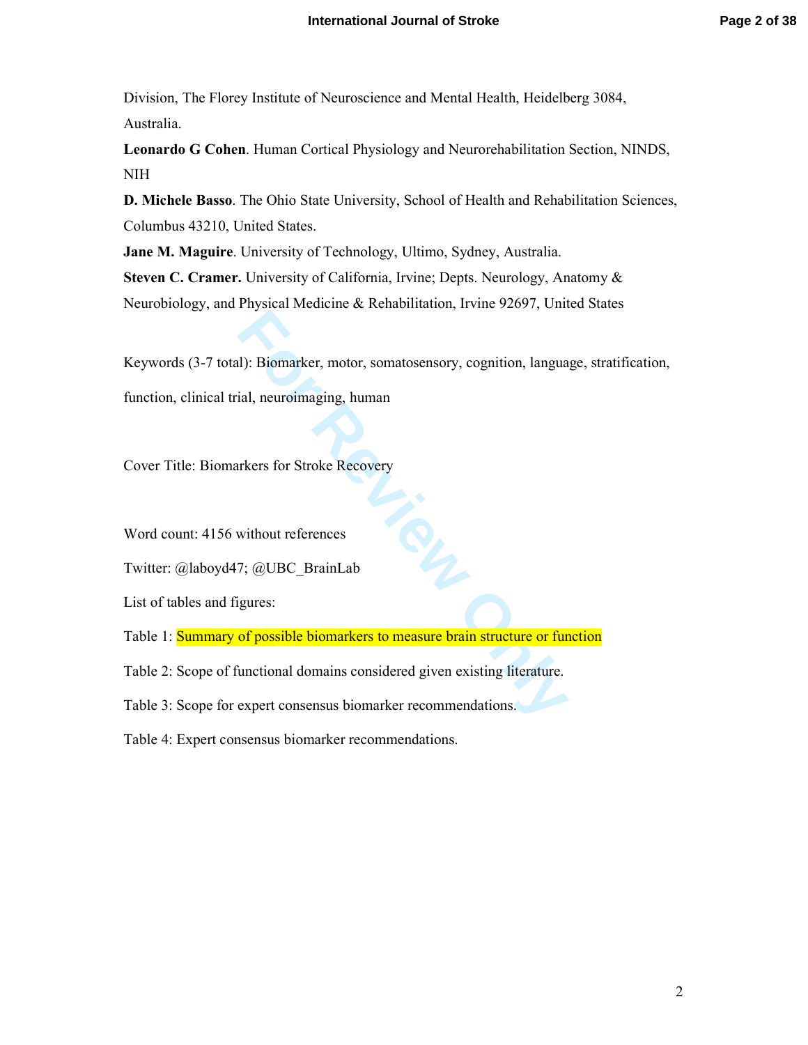Division, The Florey Institute of Neuroscience and Mental Health, Heidelberg 3084, Australia.

**Leonardo G Cohen**. Human Cortical Physiology and Neurorehabilitation Section, NINDS, NIH

**D. Michele Basso**. The Ohio State University, School of Health and Rehabilitation Sciences, Columbus 43210, United States.

**Jane M. Maguire**. University of Technology, Ultimo, Sydney, Australia. **Steven C. Cramer.** University of California, Irvine; Depts. Neurology, Anatomy & Neurobiology, and Physical Medicine & Rehabilitation, Irvine 92697, United States

**Formal**<br>**Formal**<br>**Formal**<br>**Formal**<br>**Formal**<br>**Formal**<br>**Formal**<br>**Formal**<br>**Formal**<br>**Formal**<br>**Formal**<br>**Formal**<br>**Formal**<br>**Formal**<br>**Formal**<br>**Formal**<br>**Formal**<br>**Formal**<br>**Formal**<br>**Formal**<br>**Formal**<br>**Formal**<br>**Formal**<br>**Formal**<br>**Forma** Keywords (3-7 total): Biomarker, motor, somatosensory, cognition, language, stratification, function, clinical trial, neuroimaging, human

Cover Title: Biomarkers for Stroke Recovery

Word count: 4156 without references

Twitter: @laboyd47; @UBC\_BrainLab

List of tables and figures:

Table 1: Summary of possible biomarkers to measure brain structure or function

Table 2: Scope of functional domains considered given existing literature.

Table 3: Scope for expert consensus biomarker recommendations.

Table 4: Expert consensus biomarker recommendations.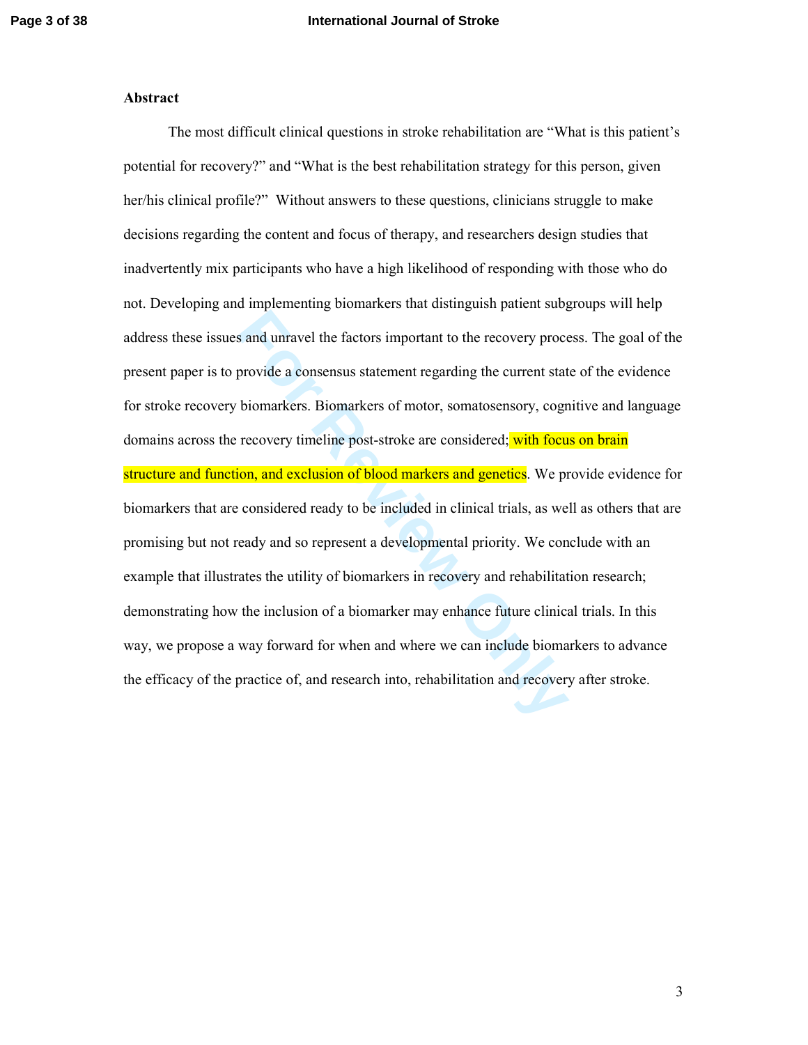#### **Abstract**

**For All Secure 2018** and unravel the factors important to the recovery proces provide a consensus statement regarding the current state biomarkers. Biomarkers of motor, somatosensory, cogrees recovery timeline post-stroke The most difficult clinical questions in stroke rehabilitation are "What is this patient's potential for recovery?" and "What is the best rehabilitation strategy for this person, given her/his clinical profile?" Without answers to these questions, clinicians struggle to make decisions regarding the content and focus of therapy, and researchers design studies that inadvertently mix participants who have a high likelihood of responding with those who do not. Developing and implementing biomarkers that distinguish patient subgroups will help address these issues and unravel the factors important to the recovery process. The goal of the present paper is to provide a consensus statement regarding the current state of the evidence for stroke recovery biomarkers. Biomarkers of motor, somatosensory, cognitive and language domains across the recovery timeline post-stroke are considered; with focus on brain structure and function, and exclusion of blood markers and genetics. We provide evidence for biomarkers that are considered ready to be included in clinical trials, as well as others that are promising but not ready and so represent a developmental priority. We conclude with an example that illustrates the utility of biomarkers in recovery and rehabilitation research; demonstrating how the inclusion of a biomarker may enhance future clinical trials. In this way, we propose a way forward for when and where we can include biomarkers to advance the efficacy of the practice of, and research into, rehabilitation and recovery after stroke.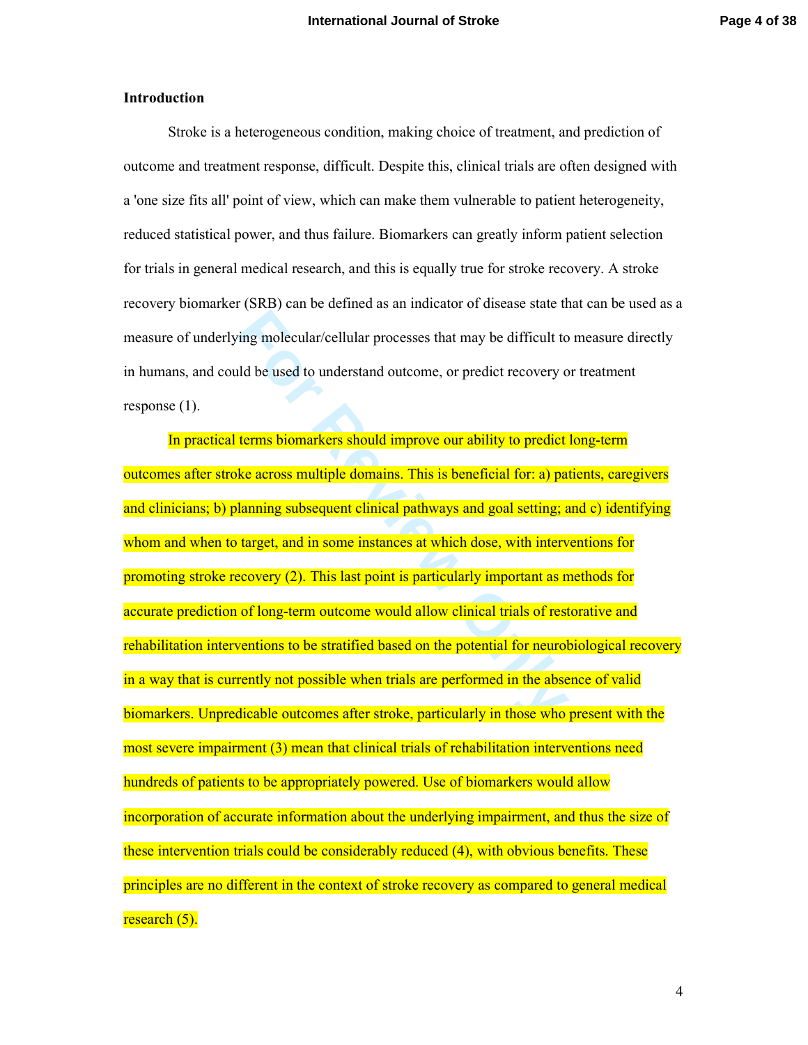### **Introduction**

Stroke is a heterogeneous condition, making choice of treatment, and prediction of outcome and treatment response, difficult. Despite this, clinical trials are often designed with a 'one size fits all' point of view, which can make them vulnerable to patient heterogeneity, reduced statistical power, and thus failure. Biomarkers can greatly inform patient selection for trials in general medical research, and this is equally true for stroke recovery. A stroke recovery biomarker (SRB) can be defined as an indicator of disease state that can be used as a measure of underlying molecular/cellular processes that may be difficult to measure directly in humans, and could be used to understand outcome, or predict recovery or treatment response (1).

ing molecular/cellular processes that may be difficult to<br>ild be used to understand outcome, or predict recovery of<br>terms biomarkers should improve our ability to predict<br>terms biomarkers should improve our ability to pred In practical terms biomarkers should improve our ability to predict long-term outcomes after stroke across multiple domains. This is beneficial for: a) patients, caregivers and clinicians; b) planning subsequent clinical pathways and goal setting; and c) identifying whom and when to target, and in some instances at which dose, with interventions for promoting stroke recovery (2). This last point is particularly important as methods for accurate prediction of long-term outcome would allow clinical trials of restorative and rehabilitation interventions to be stratified based on the potential for neurobiological recovery in a way that is currently not possible when trials are performed in the absence of valid biomarkers. Unpredicable outcomes after stroke, particularly in those who present with the most severe impairment (3) mean that clinical trials of rehabilitation interventions need hundreds of patients to be appropriately powered. Use of biomarkers would allow incorporation of accurate information about the underlying impairment, and thus the size of these intervention trials could be considerably reduced (4), with obvious benefits. These principles are no different in the context of stroke recovery as compared to general medical research (5).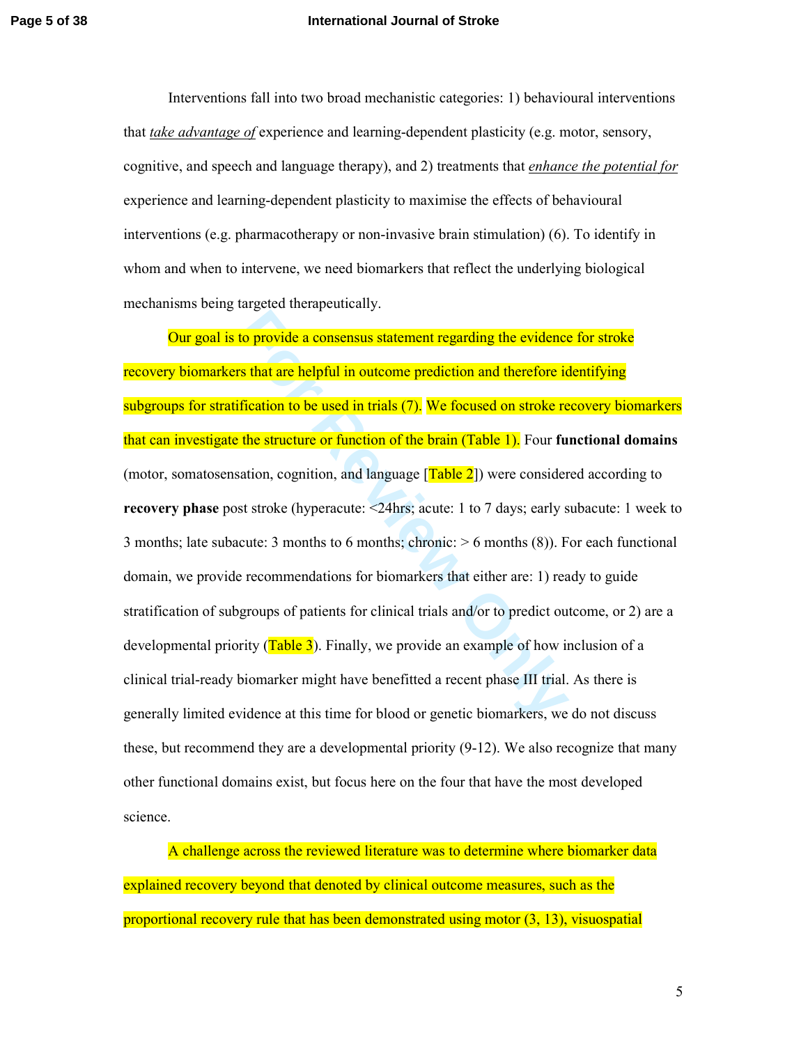#### **Page 5 of 38 International Journal of Stroke**

Interventions fall into two broad mechanistic categories: 1) behavioural interventions that *take advantage of* experience and learning-dependent plasticity (e.g. motor, sensory, cognitive, and speech and language therapy), and 2) treatments that *enhance the potential for* experience and learning-dependent plasticity to maximise the effects of behavioural interventions (e.g. pharmacotherapy or non-invasive brain stimulation) (6). To identify in whom and when to intervene, we need biomarkers that reflect the underlying biological mechanisms being targeted therapeutically.

**For The Example 12 Set Solution** and the evidences of that are helpful in outcome prediction and therefore is first<br>tion to be used in trials (7). We focused on stroke re<br>the structure or function of the brain (Table 1). Our goal is to provide a consensus statement regarding the evidence for stroke recovery biomarkers that are helpful in outcome prediction and therefore identifying subgroups for stratification to be used in trials (7). We focused on stroke recovery biomarkers that can investigate the structure or function of the brain (Table 1). Four **functional domains** (motor, somatosensation, cognition, and language  $[Table 2]$ ) were considered according to **recovery phase** post stroke (hyperacute: <24hrs; acute: 1 to 7 days; early subacute: 1 week to 3 months; late subacute: 3 months to 6 months; chronic:  $> 6$  months (8)). For each functional domain, we provide recommendations for biomarkers that either are: 1) ready to guide stratification of subgroups of patients for clinical trials and/or to predict outcome, or 2) are a developmental priority  $(Table 3)$ . Finally, we provide an example of how inclusion of a clinical trial-ready biomarker might have benefitted a recent phase III trial. As there is generally limited evidence at this time for blood or genetic biomarkers, we do not discuss these, but recommend they are a developmental priority (9-12). We also recognize that many other functional domains exist, but focus here on the four that have the most developed science.

A challenge across the reviewed literature was to determine where biomarker data explained recovery beyond that denoted by clinical outcome measures, such as the proportional recovery rule that has been demonstrated using motor (3, 13), visuospatial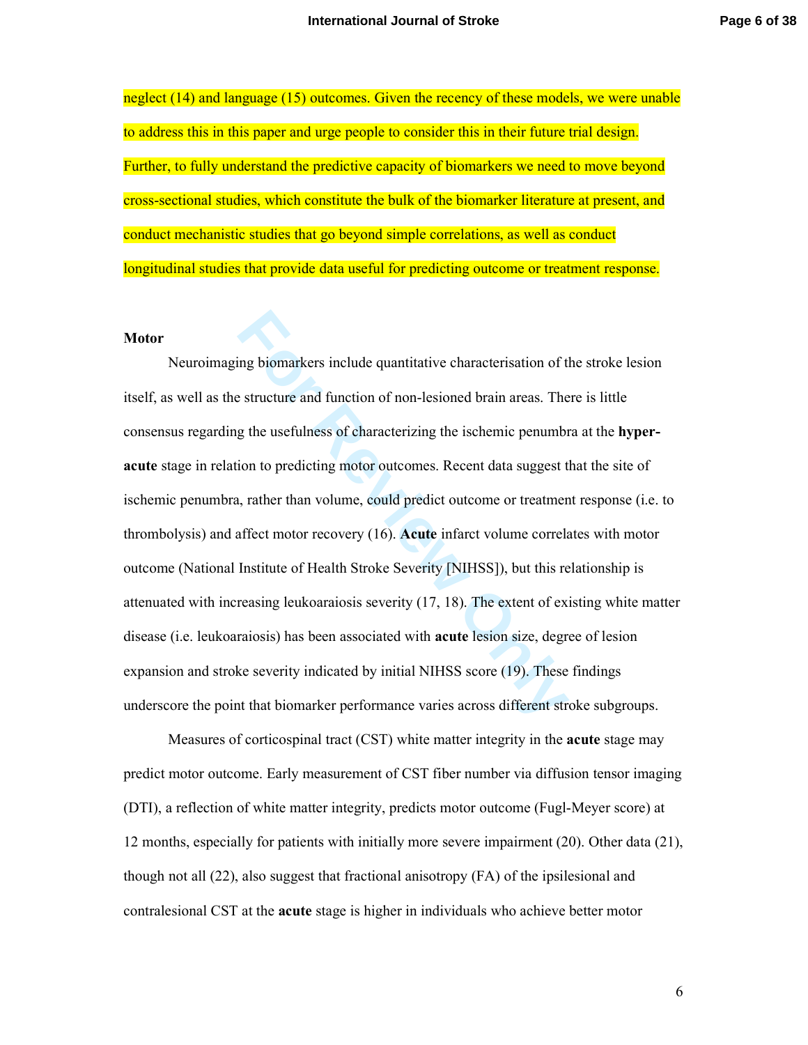neglect (14) and language (15) outcomes. Given the recency of these models, we were unable to address this in this paper and urge people to consider this in their future trial design. Further, to fully understand the predictive capacity of biomarkers we need to move beyond cross-sectional studies, which constitute the bulk of the biomarker literature at present, and conduct mechanistic studies that go beyond simple correlations, as well as conduct longitudinal studies that provide data useful for predicting outcome or treatment response.

#### **Motor**

In gbiomarkers include quantitative characterisation of the structure and function of non-lesioned brain areas. The g the usefulness of characterizing the ischemic penumbion to predicting motor outcomes. Recent data sugges Neuroimaging biomarkers include quantitative characterisation of the stroke lesion itself, as well as the structure and function of non-lesioned brain areas. There is little consensus regarding the usefulness of characterizing the ischemic penumbra at the **hyperacute** stage in relation to predicting motor outcomes. Recent data suggest that the site of ischemic penumbra, rather than volume, could predict outcome or treatment response (i.e. to thrombolysis) and affect motor recovery (16). **Acute** infarct volume correlates with motor outcome (National Institute of Health Stroke Severity [NIHSS]), but this relationship is attenuated with increasing leukoaraiosis severity (17, 18). The extent of existing white matter disease (i.e. leukoaraiosis) has been associated with **acute** lesion size, degree of lesion expansion and stroke severity indicated by initial NIHSS score (19). These findings underscore the point that biomarker performance varies across different stroke subgroups.

Measures of corticospinal tract (CST) white matter integrity in the **acute** stage may predict motor outcome. Early measurement of CST fiber number via diffusion tensor imaging (DTI), a reflection of white matter integrity, predicts motor outcome (Fugl-Meyer score) at 12 months, especially for patients with initially more severe impairment (20). Other data (21), though not all (22), also suggest that fractional anisotropy (FA) of the ipsilesional and contralesional CST at the **acute** stage is higher in individuals who achieve better motor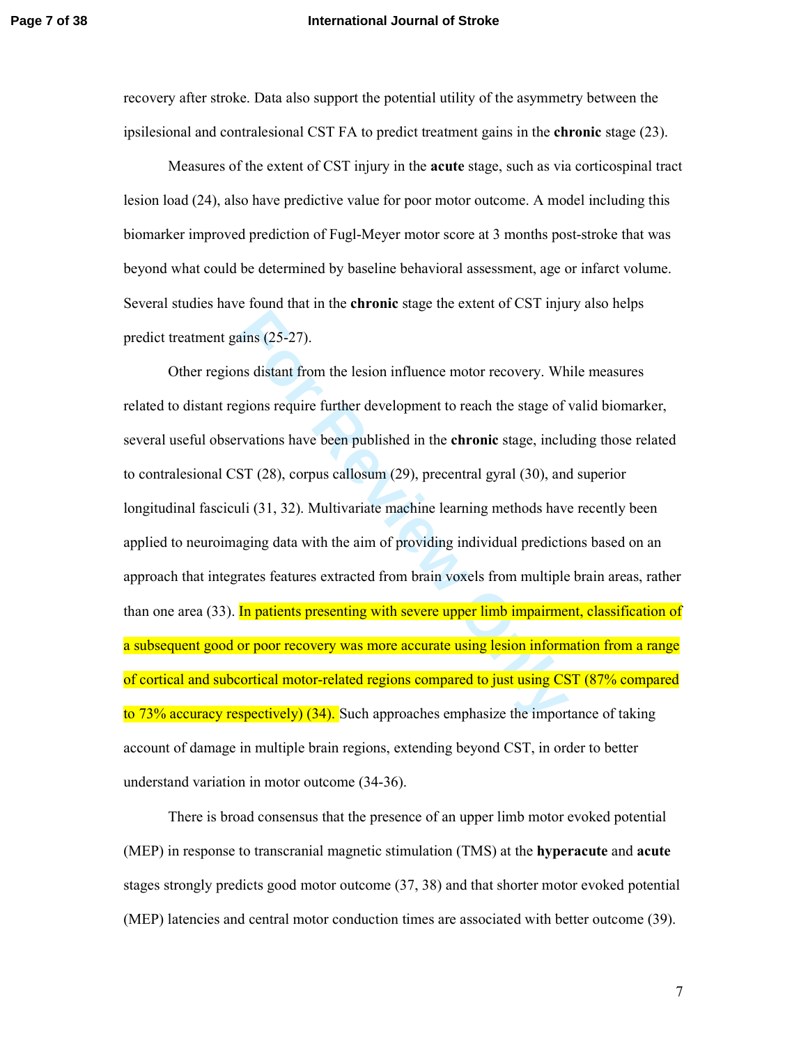### **Page 7 of 38 International Journal of Stroke**

recovery after stroke. Data also support the potential utility of the asymmetry between the ipsilesional and contralesional CST FA to predict treatment gains in the **chronic** stage (23).

Measures of the extent of CST injury in the **acute** stage, such as via corticospinal tract lesion load (24), also have predictive value for poor motor outcome. A model including this biomarker improved prediction of Fugl-Meyer motor score at 3 months post-stroke that was beyond what could be determined by baseline behavioral assessment, age or infarct volume. Several studies have found that in the **chronic** stage the extent of CST injury also helps predict treatment gains (25-27).

ains (25-27).<br>
Ins distant from the lesion influence motor recovery. Wh<br>
gions require further development to reach the stage of<br>
For (28), corpus callosum (29), precentral gyral (30), and<br>
In (31, 32). Multivariate machin Other regions distant from the lesion influence motor recovery. While measures related to distant regions require further development to reach the stage of valid biomarker, several useful observations have been published in the **chronic** stage, including those related to contralesional CST (28), corpus callosum (29), precentral gyral (30), and superior longitudinal fasciculi (31, 32). Multivariate machine learning methods have recently been applied to neuroimaging data with the aim of providing individual predictions based on an approach that integrates features extracted from brain voxels from multiple brain areas, rather than one area (33). In patients presenting with severe upper limb impairment, classification of a subsequent good or poor recovery was more accurate using lesion information from a range of cortical and subcortical motor-related regions compared to just using CST (87% compared to 73% accuracy respectively) (34). Such approaches emphasize the importance of taking account of damage in multiple brain regions, extending beyond CST, in order to better understand variation in motor outcome (34-36).

There is broad consensus that the presence of an upper limb motor evoked potential (MEP) in response to transcranial magnetic stimulation (TMS) at the **hyperacute** and **acute** stages strongly predicts good motor outcome (37, 38) and that shorter motor evoked potential (MEP) latencies and central motor conduction times are associated with better outcome (39).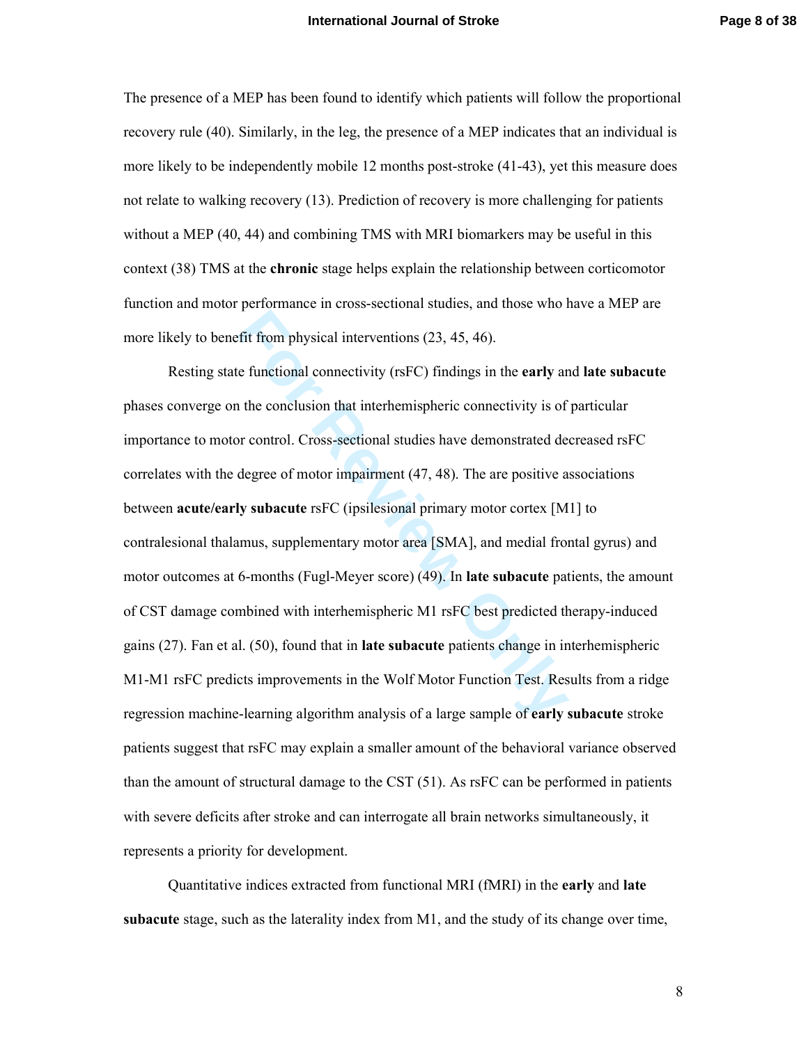The presence of a MEP has been found to identify which patients will follow the proportional recovery rule (40). Similarly, in the leg, the presence of a MEP indicates that an individual is more likely to be independently mobile 12 months post-stroke (41-43), yet this measure does not relate to walking recovery (13). Prediction of recovery is more challenging for patients without a MEP (40, 44) and combining TMS with MRI biomarkers may be useful in this context (38) TMS at the **chronic** stage helps explain the relationship between corticomotor function and motor performance in cross-sectional studies, and those who have a MEP are more likely to benefit from physical interventions (23, 45, 46).

For from physical interventions (23, 45, 46).<br> **Exercutional connectivity (rsFC)** findings in the **early** and the conclusion that interhemispheric connectivity is of or control. Cross-sectional studies have demonstrated de Resting state functional connectivity (rsFC) findings in the **early** and **late subacute**  phases converge on the conclusion that interhemispheric connectivity is of particular importance to motor control. Cross-sectional studies have demonstrated decreased rsFC correlates with the degree of motor impairment (47, 48). The are positive associations between **acute/early subacute** rsFC (ipsilesional primary motor cortex [M1] to contralesional thalamus, supplementary motor area [SMA], and medial frontal gyrus) and motor outcomes at 6-months (Fugl-Meyer score) (49). In **late subacute** patients, the amount of CST damage combined with interhemispheric M1 rsFC best predicted therapy-induced gains (27). Fan et al. (50), found that in **late subacute** patients change in interhemispheric M1-M1 rsFC predicts improvements in the Wolf Motor Function Test. Results from a ridge regression machine-learning algorithm analysis of a large sample of **early subacute** stroke patients suggest that rsFC may explain a smaller amount of the behavioral variance observed than the amount of structural damage to the CST (51). As rsFC can be performed in patients with severe deficits after stroke and can interrogate all brain networks simultaneously, it represents a priority for development.

Quantitative indices extracted from functional MRI (fMRI) in the **early** and **late subacute** stage, such as the laterality index from M1, and the study of its change over time,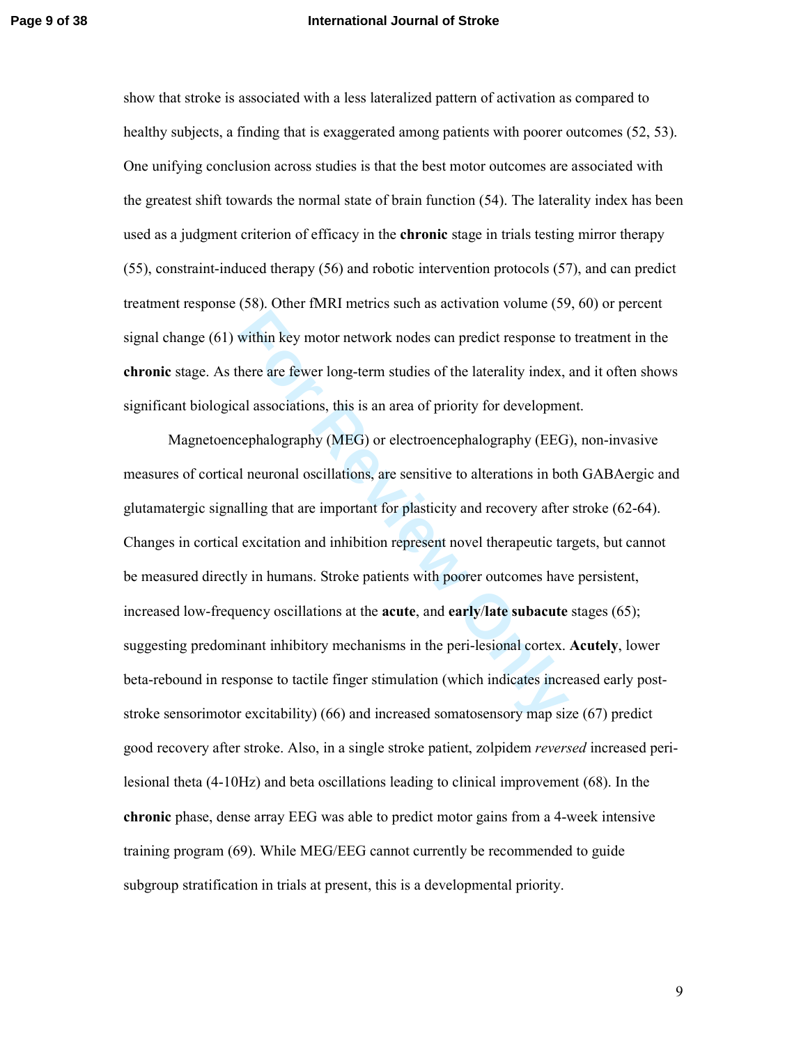### **Page 9 of 38 International Journal of Stroke**

show that stroke is associated with a less lateralized pattern of activation as compared to healthy subjects, a finding that is exaggerated among patients with poorer outcomes (52, 53). One unifying conclusion across studies is that the best motor outcomes are associated with the greatest shift towards the normal state of brain function (54). The laterality index has been used as a judgment criterion of efficacy in the **chronic** stage in trials testing mirror therapy (55), constraint-induced therapy (56) and robotic intervention protocols (57), and can predict treatment response (58). Other fMRI metrics such as activation volume (59, 60) or percent signal change (61) within key motor network nodes can predict response to treatment in the **chronic** stage. As there are fewer long-term studies of the laterality index, and it often shows significant biological associations, this is an area of priority for development.

within key motor network nodes can predict response to<br>here are fewer long-term studies of the laterality index,<br>al associations, this is an area of priority for developme<br>cephalography (MEG) or electroencephalography (EEG Magnetoencephalography (MEG) or electroencephalography (EEG), non-invasive measures of cortical neuronal oscillations, are sensitive to alterations in both GABAergic and glutamatergic signalling that are important for plasticity and recovery after stroke (62-64). Changes in cortical excitation and inhibition represent novel therapeutic targets, but cannot be measured directly in humans. Stroke patients with poorer outcomes have persistent, increased low-frequency oscillations at the **acute**, and **early** /**late subacute** stages (65); suggesting predominant inhibitory mechanisms in the peri-lesional cortex. **Acutely**, lower beta-rebound in response to tactile finger stimulation (which indicates increased early poststroke sensorimotor excitability) (66) and increased somatosensory map size (67) predict good recovery after stroke. Also, in a single stroke patient, zolpidem *reversed* increased perilesional theta (4-10Hz) and beta oscillations leading to clinical improvement (68). In the **chronic** phase, dense array EEG was able to predict motor gains from a 4-week intensive training program (69). While MEG/EEG cannot currently be recommended to guide subgroup stratification in trials at present, this is a developmental priority.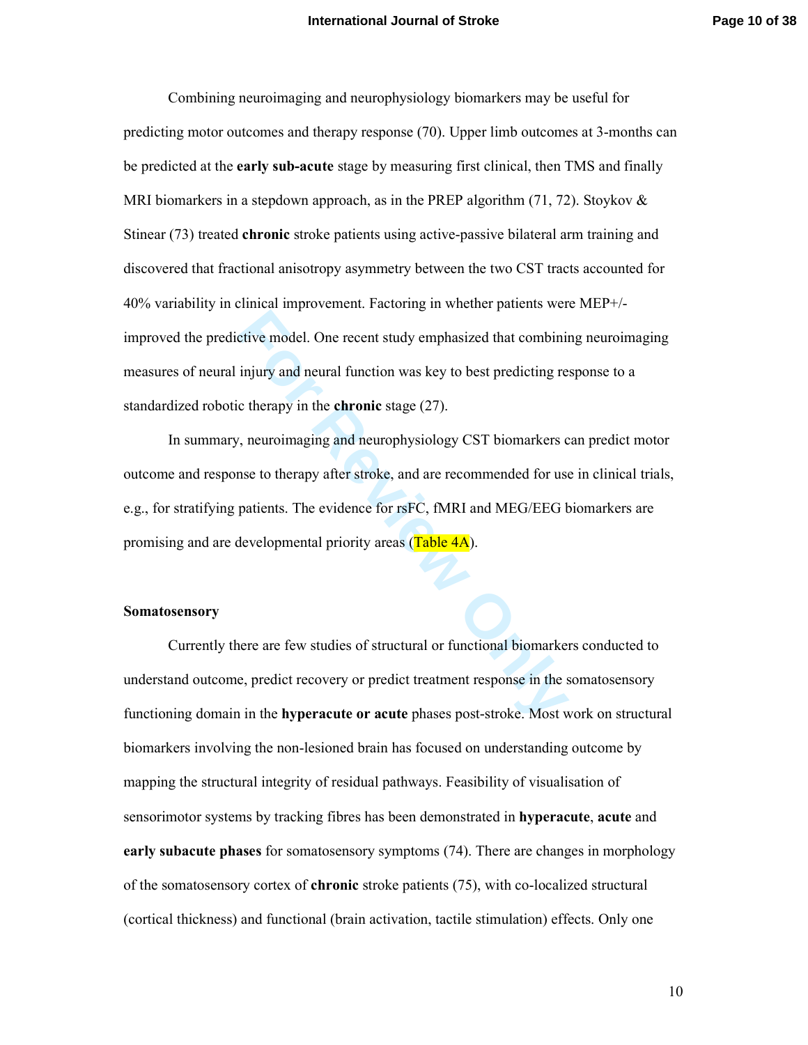Combining neuroimaging and neurophysiology biomarkers may be useful for predicting motor outcomes and therapy response (70). Upper limb outcomes at 3-months can be predicted at the **early sub-acute** stage by measuring first clinical, then TMS and finally MRI biomarkers in a stepdown approach, as in the PREP algorithm  $(71, 72)$ . Stoykov  $\&$ Stinear (73) treated **chronic** stroke patients using active-passive bilateral arm training and discovered that fractional anisotropy asymmetry between the two CST tracts accounted for 40% variability in clinical improvement. Factoring in whether patients were MEP+/ improved the predictive model. One recent study emphasized that combining neuroimaging measures of neural injury and neural function was key to best predicting response to a standardized robotic therapy in the **chronic** stage (27).

**For Formular COV** Extint that combinity injury and neural function was key to best predicting re c therapy in the **chronic** stage (27).<br>
7, neuroimaging and neurophysiology CST biomarkers conse to therapy after stroke, an In summary, neuroimaging and neurophysiology CST biomarkers can predict motor outcome and response to therapy after stroke, and are recommended for use in clinical trials, e.g., for stratifying patients. The evidence for rsFC, fMRI and MEG/EEG biomarkers are promising and are developmental priority areas (Table 4A).

### **Somatosensory**

Currently there are few studies of structural or functional biomarkers conducted to understand outcome, predict recovery or predict treatment response in the somatosensory functioning domain in the **hyperacute or acute** phases post-stroke. Most work on structural biomarkers involving the non-lesioned brain has focused on understanding outcome by mapping the structural integrity of residual pathways. Feasibility of visualisation of sensorimotor systems by tracking fibres has been demonstrated in **hyperacute**, **acute** and **early subacute phases** for somatosensory symptoms (74). There are changes in morphology of the somatosensory cortex of **chronic** stroke patients (75), with co-localized structural (cortical thickness) and functional (brain activation, tactile stimulation) effects. Only one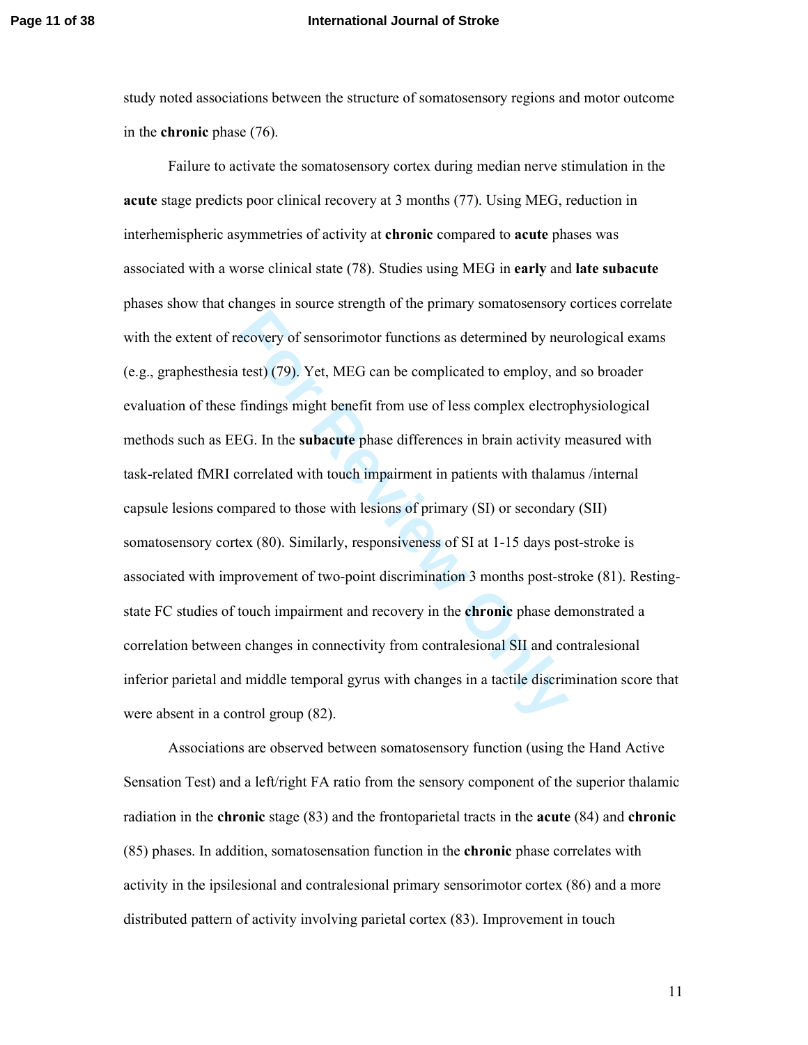### **Page 11 of 38 International Journal of Stroke**

study noted associations between the structure of somatosensory regions and motor outcome in the **chronic** phase (76).

**Example 18 The Secondary of Sensorimotor functions as determined by new test) (79). Yet, MEG can be complicated to employ, an findings might benefit from use of less complex electro EG. In the <b>subacute** phase differences Failure to activate the somatosensory cortex during median nerve stimulation in the **acute** stage predicts poor clinical recovery at 3 months (77). Using MEG, reduction in interhemispheric asymmetries of activity at **chronic** compared to **acute** phases was associated with a worse clinical state (78). Studies using MEG in **early** and **late subacute** phases show that changes in source strength of the primary somatosensory cortices correlate with the extent of recovery of sensorimotor functions as determined by neurological exams (e.g., graphesthesia test) (79). Yet, MEG can be complicated to employ, and so broader evaluation of these findings might benefit from use of less complex electrophysiological methods such as EEG. In the **subacute** phase differences in brain activity measured with task-related fMRI correlated with touch impairment in patients with thalamus /internal capsule lesions compared to those with lesions of primary (SI) or secondary (SII) somatosensory cortex (80). Similarly, responsiveness of SI at 1-15 days post-stroke is associated with improvement of two-point discrimination 3 months post-stroke (81). Restingstate FC studies of touch impairment and recovery in the **chronic** phase demonstrated a correlation between changes in connectivity from contralesional SII and contralesional inferior parietal and middle temporal gyrus with changes in a tactile discrimination score that were absent in a control group (82).

Associations are observed between somatosensory function (using the Hand Active Sensation Test) and a left/right FA ratio from the sensory component of the superior thalamic radiation in the **chronic** stage (83) and the frontoparietal tracts in the **acute** (84) and **chronic** (85) phases. In addition, somatosensation function in the **chronic** phase correlates with activity in the ipsilesional and contralesional primary sensorimotor cortex (86) and a more distributed pattern of activity involving parietal cortex (83). Improvement in touch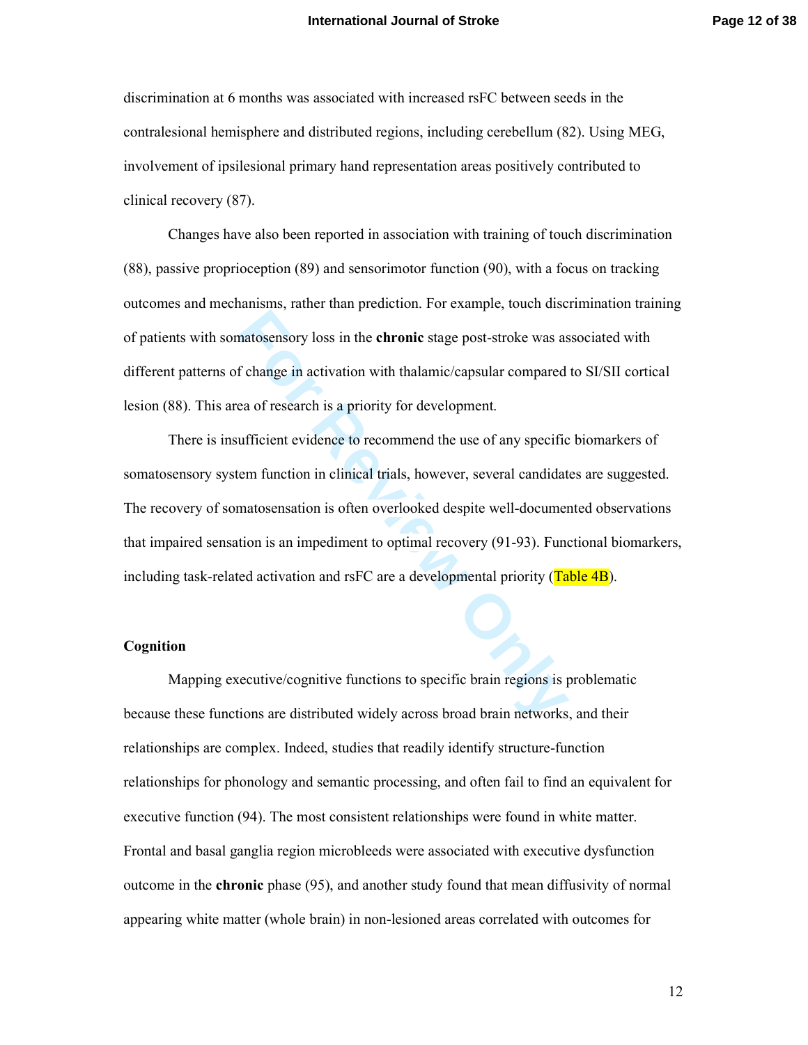discrimination at 6 months was associated with increased rsFC between seeds in the contralesional hemisphere and distributed regions, including cerebellum (82). Using MEG, involvement of ipsilesional primary hand representation areas positively contributed to clinical recovery (87).

Changes have also been reported in association with training of touch discrimination (88), passive proprioception (89) and sensorimotor function (90), with a focus on tracking outcomes and mechanisms, rather than prediction. For example, touch discrimination training of patients with somatosensory loss in the **chronic** stage post-stroke was associated with different patterns of change in activation with thalamic/capsular compared to SI/SII cortical lesion (88). This area of research is a priority for development.

**Example 12** and the **Formic** stage post-stroke was as<br>**F** change in activation with thalamic/capsular compared<br>ea of research is a priority for development.<br>**Example 12** and the use of any specific<br>tem function in clinica There is insufficient evidence to recommend the use of any specific biomarkers of somatosensory system function in clinical trials, however, several candidates are suggested. The recovery of somatosensation is often overlooked despite well-documented observations that impaired sensation is an impediment to optimal recovery (91-93). Functional biomarkers, including task-related activation and rsFC are a developmental priority (Table 4B).

## **Cognition**

Mapping executive/cognitive functions to specific brain regions is problematic because these functions are distributed widely across broad brain networks, and their relationships are complex. Indeed, studies that readily identify structure-function relationships for phonology and semantic processing, and often fail to find an equivalent for executive function (94). The most consistent relationships were found in white matter. Frontal and basal ganglia region microbleeds were associated with executive dysfunction outcome in the **chronic** phase (95), and another study found that mean diffusivity of normal appearing white matter (whole brain) in non-lesioned areas correlated with outcomes for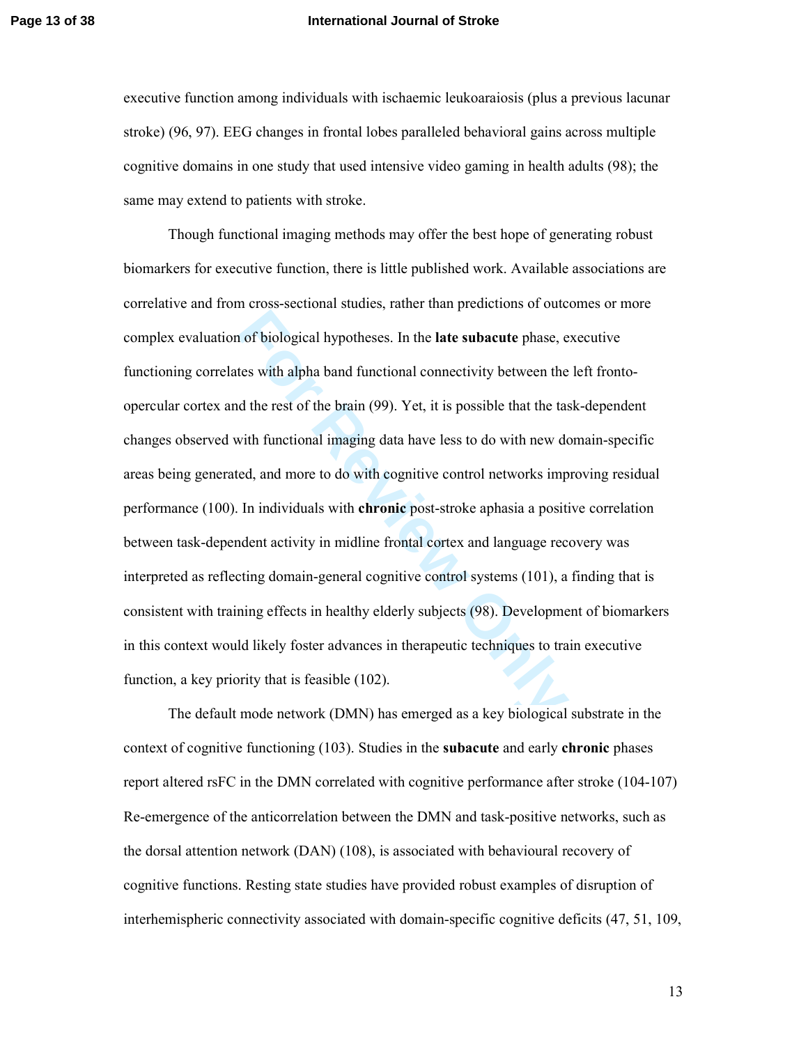### **Page 13 of 38 International Journal of Stroke**

executive function among individuals with ischaemic leukoaraiosis (plus a previous lacunar stroke) (96, 97). EEG changes in frontal lobes paralleled behavioral gains across multiple cognitive domains in one study that used intensive video gaming in health adults (98); the same may extend to patients with stroke.

**Formular Solution** of biological hypotheses. In the **late subacute** phase, etes with alpha band functional connectivity between the d the rest of the brain (99). Yet, it is possible that the tase with functional imaging d Though functional imaging methods may offer the best hope of generating robust biomarkers for executive function, there is little published work. Available associations are correlative and from cross-sectional studies, rather than predictions of outcomes or more complex evaluation of biological hypotheses. In the **late subacute** phase, executive functioning correlates with alpha band functional connectivity between the left frontoopercular cortex and the rest of the brain (99). Yet, it is possible that the task-dependent changes observed with functional imaging data have less to do with new domain-specific areas being generated, and more to do with cognitive control networks improving residual performance (100). In individuals with **chronic** post-stroke aphasia a positive correlation between task-dependent activity in midline frontal cortex and language recovery was interpreted as reflecting domain-general cognitive control systems (101), a finding that is consistent with training effects in healthy elderly subjects (98). Development of biomarkers in this context would likely foster advances in therapeutic techniques to train executive function, a key priority that is feasible (102).

The default mode network (DMN) has emerged as a key biological substrate in the context of cognitive functioning (103). Studies in the **subacute** and early **chronic** phases report altered rsFC in the DMN correlated with cognitive performance after stroke (104-107) Re-emergence of the anticorrelation between the DMN and task-positive networks, such as the dorsal attention network (DAN) (108), is associated with behavioural recovery of cognitive functions. Resting state studies have provided robust examples of disruption of interhemispheric connectivity associated with domain-specific cognitive deficits (47, 51, 109,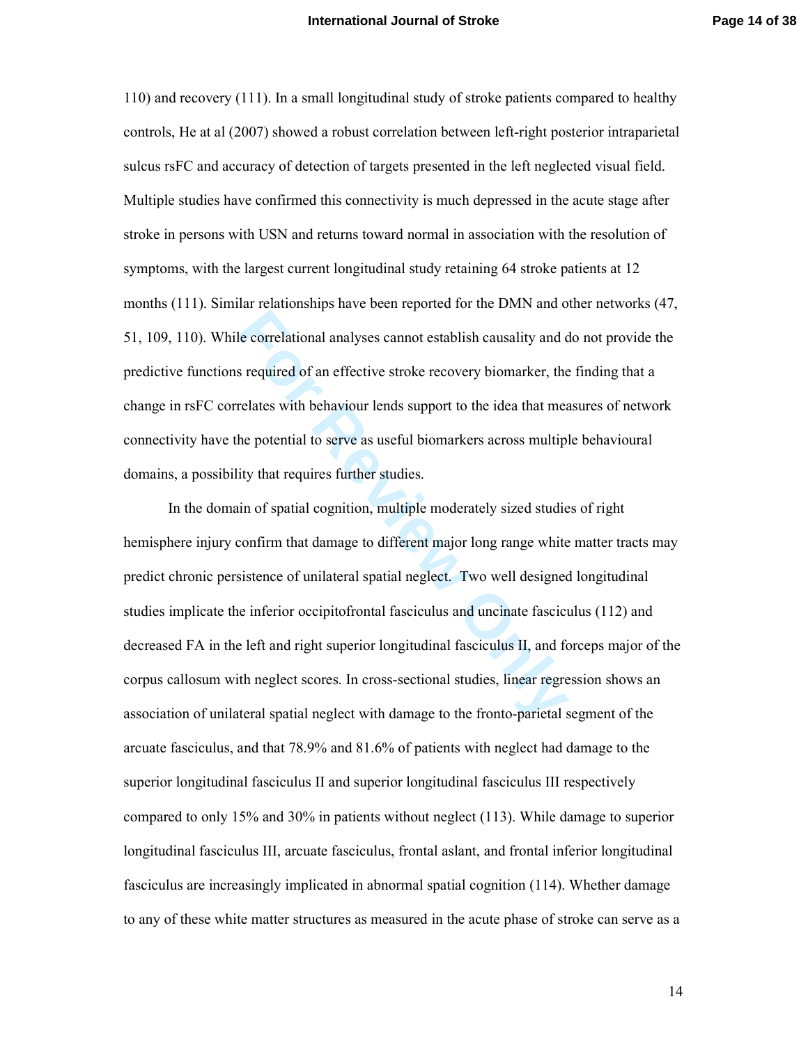110) and recovery (111). In a small longitudinal study of stroke patients compared to healthy controls, He at al (2007) showed a robust correlation between left-right posterior intraparietal sulcus rsFC and accuracy of detection of targets presented in the left neglected visual field. Multiple studies have confirmed this connectivity is much depressed in the acute stage after stroke in persons with USN and returns toward normal in association with the resolution of symptoms, with the largest current longitudinal study retaining 64 stroke patients at 12 months (111). Similar relationships have been reported for the DMN and other networks (47, 51, 109, 110). While correlational analyses cannot establish causality and do not provide the predictive functions required of an effective stroke recovery biomarker, the finding that a change in rsFC correlates with behaviour lends support to the idea that measures of network connectivity have the potential to serve as useful biomarkers across multiple behavioural domains, a possibility that requires further studies.

**Follow Example System Controllering System Controllering System Independent System Separates with behaviour lends support to the idea that means the potential to serve as useful biomarkers across multiplity that requires** In the domain of spatial cognition, multiple moderately sized studies of right hemisphere injury confirm that damage to different major long range white matter tracts may predict chronic persistence of unilateral spatial neglect. Two well designed longitudinal studies implicate the inferior occipitofrontal fasciculus and uncinate fasciculus (112) and decreased FA in the left and right superior longitudinal fasciculus II, and forceps major of the corpus callosum with neglect scores. In cross-sectional studies, linear regression shows an association of unilateral spatial neglect with damage to the fronto-parietal segment of the arcuate fasciculus, and that 78.9% and 81.6% of patients with neglect had damage to the superior longitudinal fasciculus II and superior longitudinal fasciculus III respectively compared to only 15% and 30% in patients without neglect (113). While damage to superior longitudinal fasciculus III, arcuate fasciculus, frontal aslant, and frontal inferior longitudinal fasciculus are increasingly implicated in abnormal spatial cognition (114). Whether damage to any of these white matter structures as measured in the acute phase of stroke can serve as a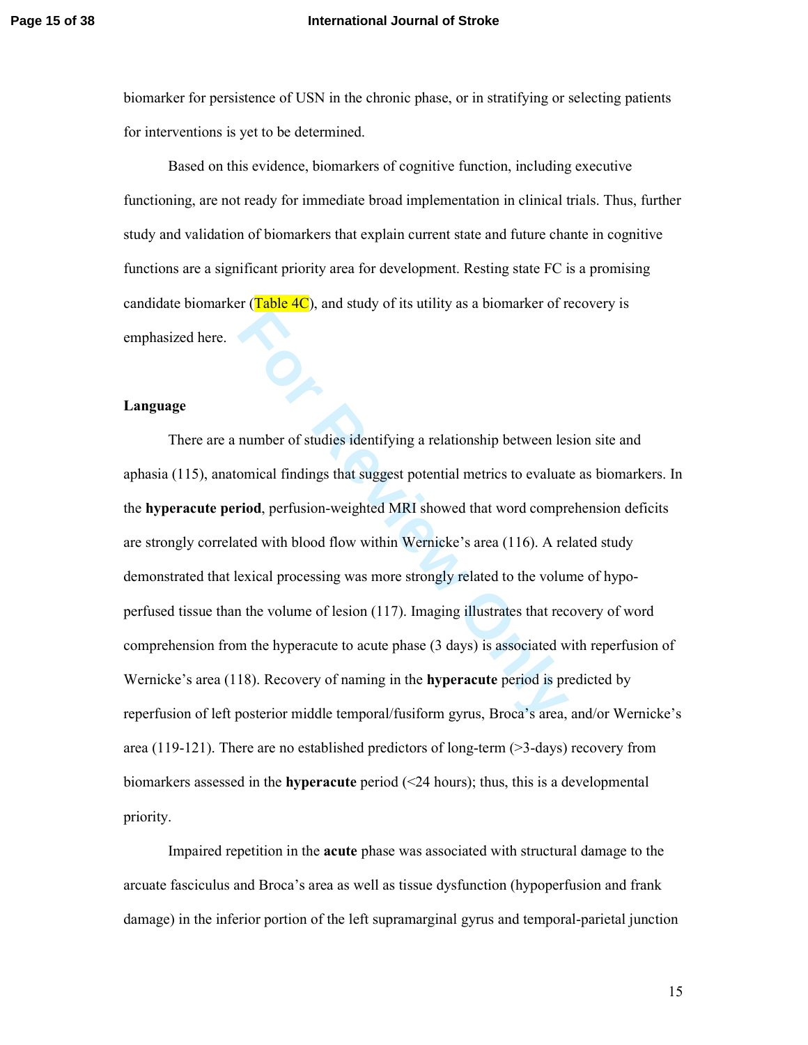### **Page 15 of 38 International Journal of Stroke**

biomarker for persistence of USN in the chronic phase, or in stratifying or selecting patients for interventions is yet to be determined.

Based on this evidence, biomarkers of cognitive function, including executive functioning, are not ready for immediate broad implementation in clinical trials. Thus, further study and validation of biomarkers that explain current state and future chante in cognitive functions are a significant priority area for development. Resting state FC is a promising candidate biomarker ( $Table 4C$ ), and study of its utility as a biomarker of recovery is emphasized here.

### **Language**

**Formal Solution** and the set of the temporal (in the temporal findings that suggest potential metrics to evaluat **Formal** findings that suggest potential metrics to evaluat **Formal Formal** findings that suggest potentia There are a number of studies identifying a relationship between lesion site and aphasia (115), anatomical findings that suggest potential metrics to evaluate as biomarkers. In the **hyperacute period**, perfusion-weighted MRI showed that word comprehension deficits are strongly correlated with blood flow within Wernicke's area (116). A related study demonstrated that lexical processing was more strongly related to the volume of hypoperfused tissue than the volume of lesion (117). Imaging illustrates that recovery of word comprehension from the hyperacute to acute phase (3 days) is associated with reperfusion of Wernicke's area (118). Recovery of naming in the **hyperacute** period is predicted by reperfusion of left posterior middle temporal/fusiform gyrus, Broca's area, and/or Wernicke's area (119-121). There are no established predictors of long-term  $($ >3-days) recovery from biomarkers assessed in the **hyperacute** period (<24 hours); thus, this is a developmental priority.

Impaired repetition in the **acute** phase was associated with structural damage to the arcuate fasciculus and Broca's area as well as tissue dysfunction (hypoperfusion and frank damage) in the inferior portion of the left supramarginal gyrus and temporal-parietal junction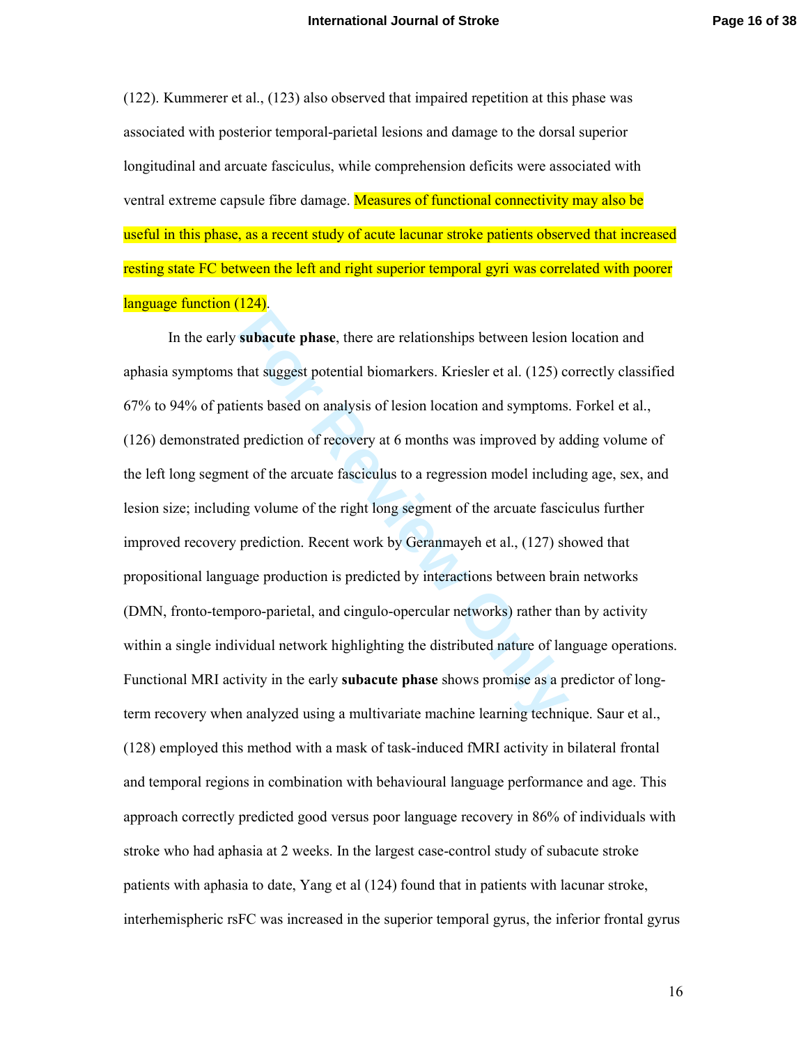(122). Kummerer et al., (123) also observed that impaired repetition at this phase was associated with posterior temporal-parietal lesions and damage to the dorsal superior longitudinal and arcuate fasciculus, while comprehension deficits were associated with ventral extreme capsule fibre damage. Measures of functional connectivity may also be useful in this phase, as a recent study of acute lacunar stroke patients observed that increased resting state FC between the left and right superior temporal gyri was correlated with poorer language function (124).

**Subacute phase**, there are relationships between lesion<br>that suggest potential biomarkers. Kriesler et al. (125) c<br>ients based on analysis of lesion location and symptoms<br>l prediction of recovery at 6 months was improved In the early **subacute phase**, there are relationships between lesion location and aphasia symptoms that suggest potential biomarkers. Kriesler et al. (125) correctly classified 67% to 94% of patients based on analysis of lesion location and symptoms. Forkel et al., (126) demonstrated prediction of recovery at 6 months was improved by adding volume of the left long segment of the arcuate fasciculus to a regression model including age, sex, and lesion size; including volume of the right long segment of the arcuate fasciculus further improved recovery prediction. Recent work by Geranmayeh et al., (127) showed that propositional language production is predicted by interactions between brain networks (DMN, fronto-temporo-parietal, and cingulo-opercular networks) rather than by activity within a single individual network highlighting the distributed nature of language operations. Functional MRI activity in the early **subacute phase** shows promise as a predictor of longterm recovery when analyzed using a multivariate machine learning technique. Saur et al., (128) employed this method with a mask of task-induced fMRI activity in bilateral frontal and temporal regions in combination with behavioural language performance and age. This approach correctly predicted good versus poor language recovery in 86% of individuals with stroke who had aphasia at 2 weeks. In the largest case-control study of subacute stroke patients with aphasia to date, Yang et al (124) found that in patients with lacunar stroke, interhemispheric rsFC was increased in the superior temporal gyrus, the inferior frontal gyrus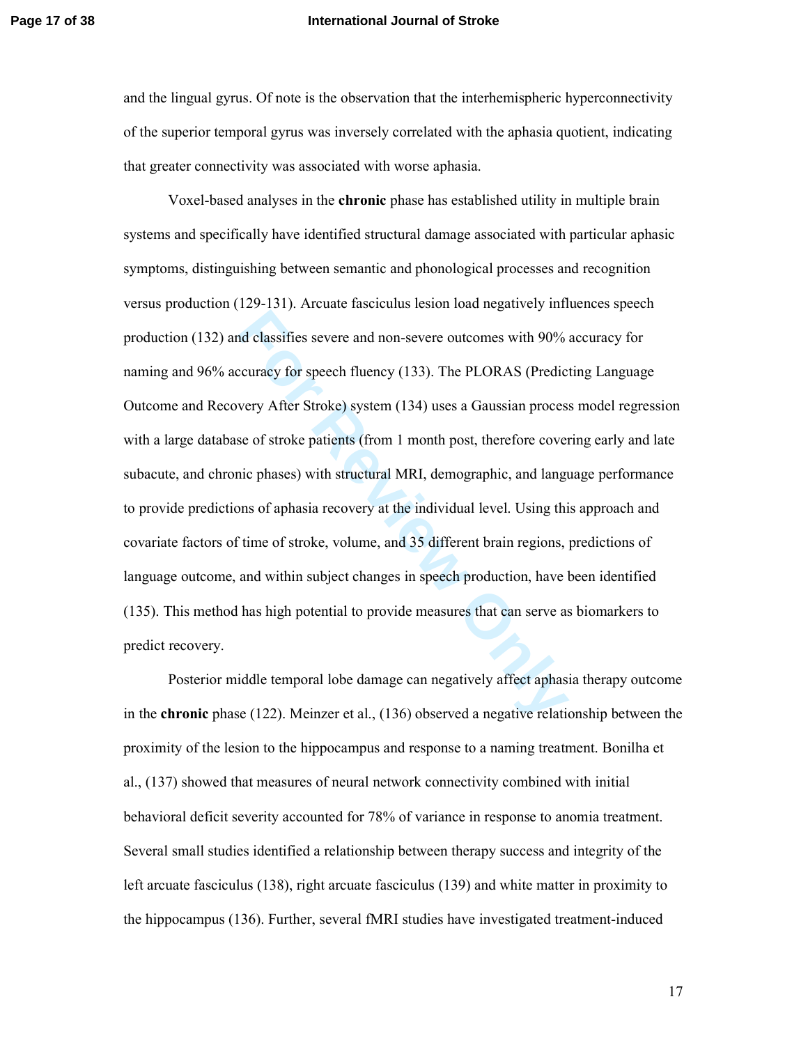### **Page 17 of 38 International Journal of Stroke**

and the lingual gyrus. Of note is the observation that the interhemispheric hyperconnectivity of the superior temporal gyrus was inversely correlated with the aphasia quotient, indicating that greater connectivity was associated with worse aphasia.

d classifies severe and non-severe outcomes with 90%<br>ccuracy for speech fluency (133). The PLORAS (Predic<br>very After Stroke) system (134) uses a Gaussian proces<br>se of stroke patients (from 1 month post, therefore cover<br>nic Voxel-based analyses in the **chronic** phase has established utility in multiple brain systems and specifically have identified structural damage associated with particular aphasic symptoms, distinguishing between semantic and phonological processes and recognition versus production (129-131). Arcuate fasciculus lesion load negatively influences speech production (132) and classifies severe and non-severe outcomes with 90% accuracy for naming and 96% accuracy for speech fluency (133). The PLORAS (Predicting Language Outcome and Recovery After Stroke) system (134) uses a Gaussian process model regression with a large database of stroke patients (from 1 month post, therefore covering early and late subacute, and chronic phases) with structural MRI, demographic, and language performance to provide predictions of aphasia recovery at the individual level. Using this approach and covariate factors of time of stroke, volume, and 35 different brain regions, predictions of language outcome, and within subject changes in speech production, have been identified (135). This method has high potential to provide measures that can serve as biomarkers to predict recovery.

Posterior middle temporal lobe damage can negatively affect aphasia therapy outcome in the **chronic** phase (122). Meinzer et al., (136) observed a negative relationship between the proximity of the lesion to the hippocampus and response to a naming treatment. Bonilha et al., (137) showed that measures of neural network connectivity combined with initial behavioral deficit severity accounted for 78% of variance in response to anomia treatment. Several small studies identified a relationship between therapy success and integrity of the left arcuate fasciculus (138), right arcuate fasciculus (139) and white matter in proximity to the hippocampus (136). Further, several fMRI studies have investigated treatment-induced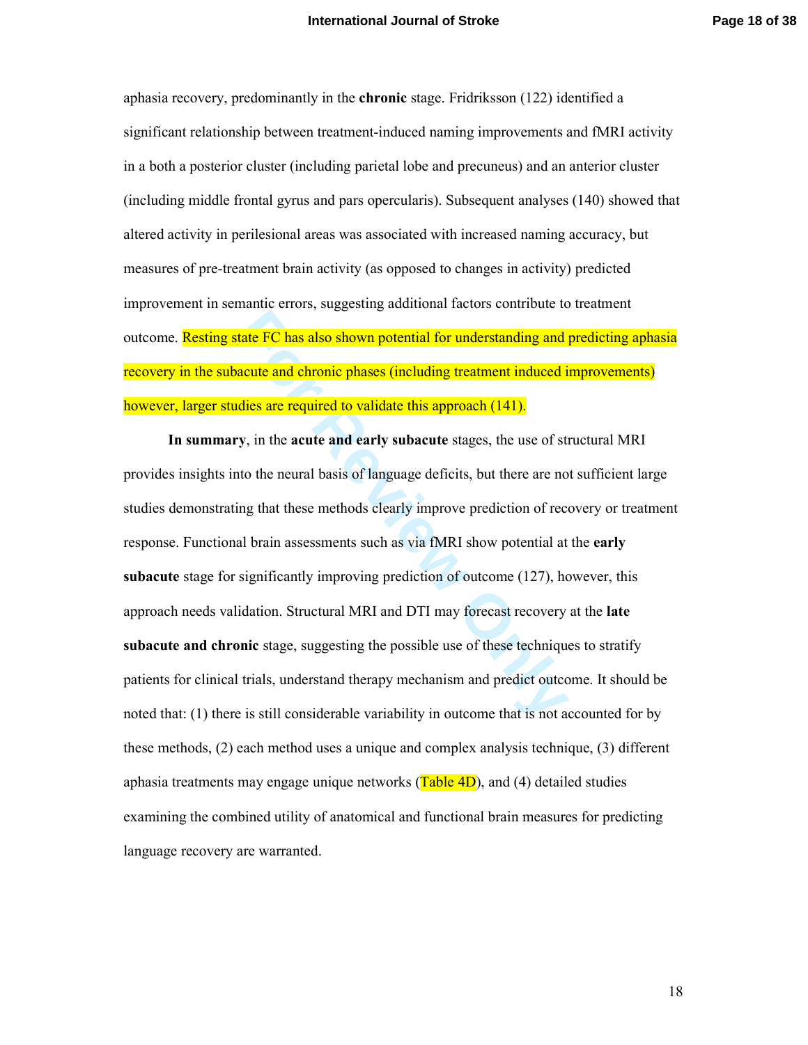aphasia recovery, predominantly in the **chronic** stage. Fridriksson (122) identified a significant relationship between treatment-induced naming improvements and fMRI activity in a both a posterior cluster (including parietal lobe and precuneus) and an anterior cluster (including middle frontal gyrus and pars opercularis). Subsequent analyses (140) showed that altered activity in perilesional areas was associated with increased naming accuracy, but measures of pre-treatment brain activity (as opposed to changes in activity) predicted improvement in semantic errors, suggesting additional factors contribute to treatment outcome. Resting state FC has also shown potential for understanding and predicting aphasia recovery in the subacute and chronic phases (including treatment induced improvements) however, larger studies are required to validate this approach (141).

tate FC has also shown potential for understanding and<br>acute and chronic phases (including treatment induced i<br>dies are required to validate this approach (141).<br>y, in the acute and early subacute stages, the use of st<br>to **In summary**, in the **acute and early subacute** stages, the use of structural MRI provides insights into the neural basis of language deficits, but there are not sufficient large studies demonstrating that these methods clearly improve prediction of recovery or treatment response. Functional brain assessments such as via fMRI show potential at the **early subacute** stage for significantly improving prediction of outcome (127), however, this approach needs validation. Structural MRI and DTI may forecast recovery at the **late subacute and chronic** stage, suggesting the possible use of these techniques to stratify patients for clinical trials, understand therapy mechanism and predict outcome. It should be noted that: (1) there is still considerable variability in outcome that is not accounted for by these methods, (2) each method uses a unique and complex analysis technique, (3) different aphasia treatments may engage unique networks  $(Table 4D)$ , and (4) detailed studies examining the combined utility of anatomical and functional brain measures for predicting language recovery are warranted.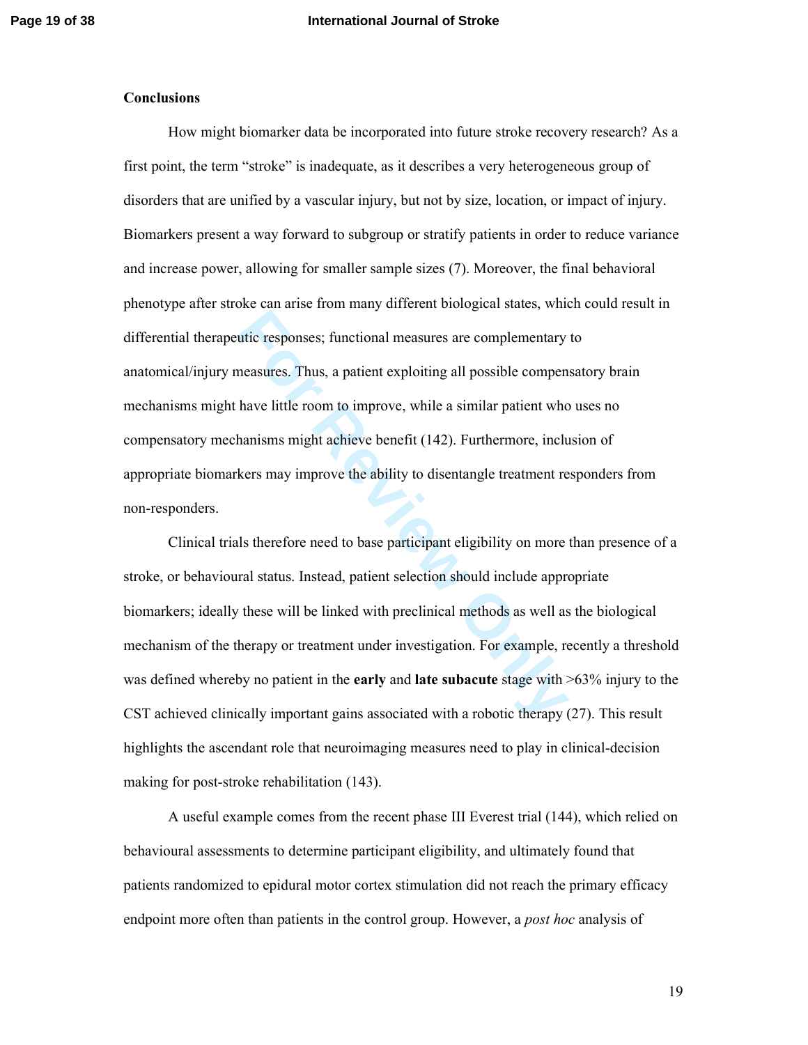#### **Conclusions**

utic responses; functional measures are complementary<br>neasures. Thus, a patient exploiting all possible compen<br>have little room to improve, while a similar patient who<br>hanisms might achieve benefit (142). Furthermore, incl How might biomarker data be incorporated into future stroke recovery research? As a first point, the term "stroke" is inadequate, as it describes a very heterogeneous group of disorders that are unified by a vascular injury, but not by size, location, or impact of injury. Biomarkers present a way forward to subgroup or stratify patients in order to reduce variance and increase power, allowing for smaller sample sizes (7). Moreover, the final behavioral phenotype after stroke can arise from many different biological states, which could result in differential therapeutic responses; functional measures are complementary to anatomical/injury measures. Thus, a patient exploiting all possible compensatory brain mechanisms might have little room to improve, while a similar patient who uses no compensatory mechanisms might achieve benefit (142). Furthermore, inclusion of appropriate biomarkers may improve the ability to disentangle treatment responders from non-responders.

Clinical trials therefore need to base participant eligibility on more than presence of a stroke, or behavioural status. Instead, patient selection should include appropriate biomarkers; ideally these will be linked with preclinical methods as well as the biological mechanism of the therapy or treatment under investigation. For example, recently a threshold was defined whereby no patient in the **early** and **late subacute** stage with >63% injury to the CST achieved clinically important gains associated with a robotic therapy (27). This result highlights the ascendant role that neuroimaging measures need to play in clinical-decision making for post-stroke rehabilitation (143).

A useful example comes from the recent phase III Everest trial (144), which relied on behavioural assessments to determine participant eligibility, and ultimately found that patients randomized to epidural motor cortex stimulation did not reach the primary efficacy endpoint more often than patients in the control group. However, a *post hoc* analysis of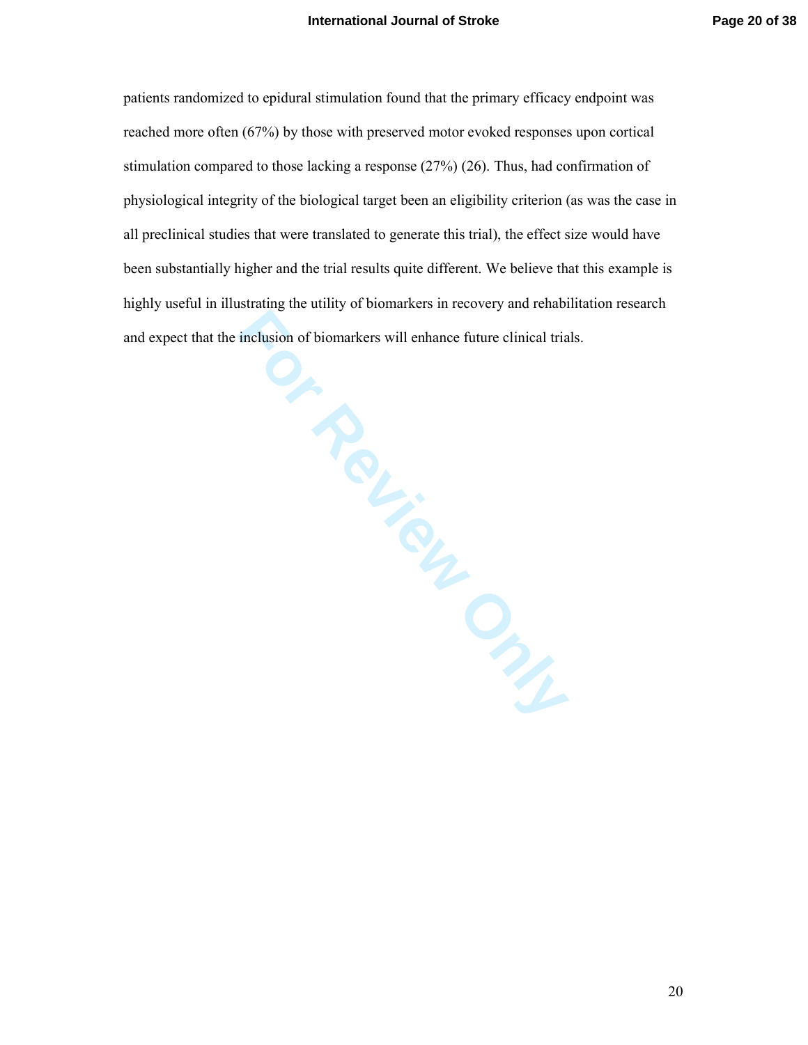Suidility. Read of Diomarkers<br>And Chief Chief Chief Chief Chief Chief Chief Chief Chief Chief Chief Chief Chief Chief Chief Chief Chief Chief Chief Chief Chief Chief Chief Chief Chief Chief Chief Chief Chief Chief Chief Ch patients randomized to epidural stimulation found that the primary efficacy endpoint was reached more often (67%) by those with preserved motor evoked responses upon cortical stimulation compared to those lacking a response (27%) (26). Thus, had confirmation of physiological integrity of the biological target been an eligibility criterion (as was the case in all preclinical studies that were translated to generate this trial), the effect size would have been substantially higher and the trial results quite different. We believe that this example is highly useful in illustrating the utility of biomarkers in recovery and rehabilitation research and expect that the inclusion of biomarkers will enhance future clinical trials.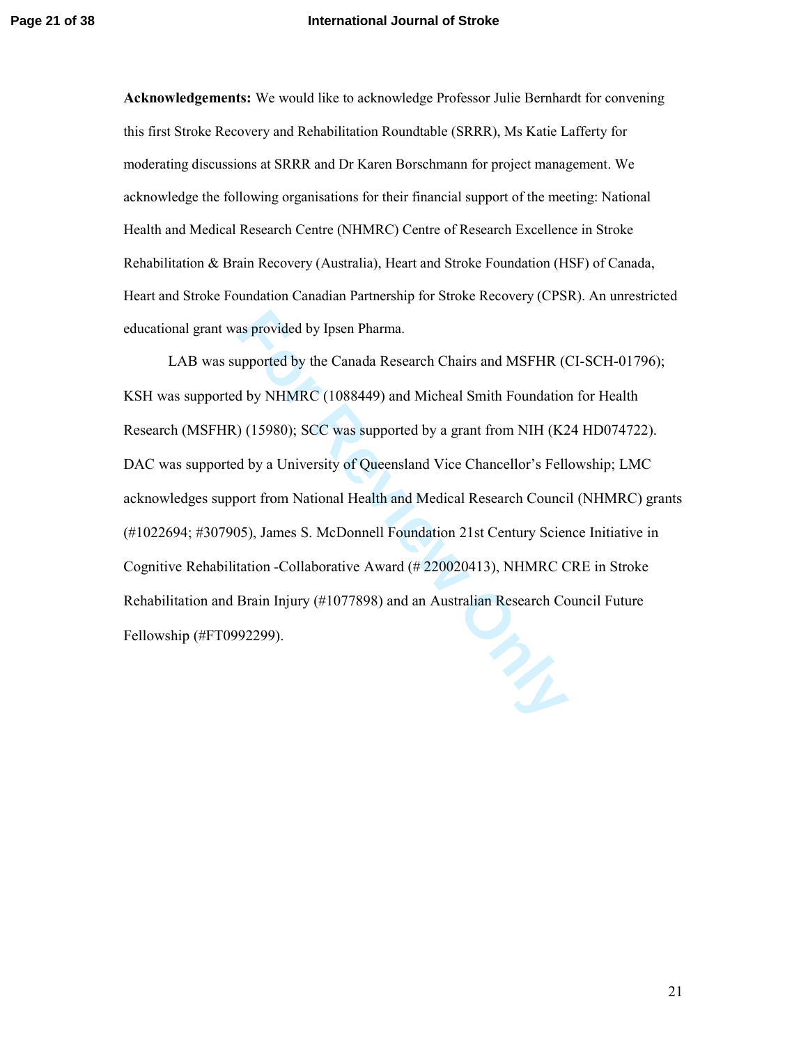**Acknowledgements:** We would like to acknowledge Professor Julie Bernhardt for convening this first Stroke Recovery and Rehabilitation Roundtable (SRRR), Ms Katie Lafferty for moderating discussions at SRRR and Dr Karen Borschmann for project management. We acknowledge the following organisations for their financial support of the meeting: National Health and Medical Research Centre (NHMRC) Centre of Research Excellence in Stroke Rehabilitation & Brain Recovery (Australia), Heart and Stroke Foundation (HSF) of Canada, Heart and Stroke Foundation Canadian Partnership for Stroke Recovery (CPSR). An unrestricted educational grant was provided by Ipsen Pharma.

as provided by Ipsen Pharma.<br>
upported by the Canada Research Chairs and MSFHR (C<br>
1 by NHMRC (1088449) and Micheal Smith Foundation<br>
1 (15980); SCC was supported by a grant from NIH (K2<br>
1 d by a University of Queensland LAB was supported by the Canada Research Chairs and MSFHR (CI-SCH-01796); KSH was supported by NHMRC (1088449) and Micheal Smith Foundation for Health Research (MSFHR) (15980); SCC was supported by a grant from NIH (K24 HD074722). DAC was supported by a University of Queensland Vice Chancellor's Fellowship; LMC acknowledges support from National Health and Medical Research Council (NHMRC) grants (#1022694; #307905), James S. McDonnell Foundation 21st Century Science Initiative in Cognitive Rehabilitation -Collaborative Award (# 220020413), NHMRC CRE in Stroke Rehabilitation and Brain Injury (#1077898) and an Australian Research Council Future Fellowship (#FT0992299).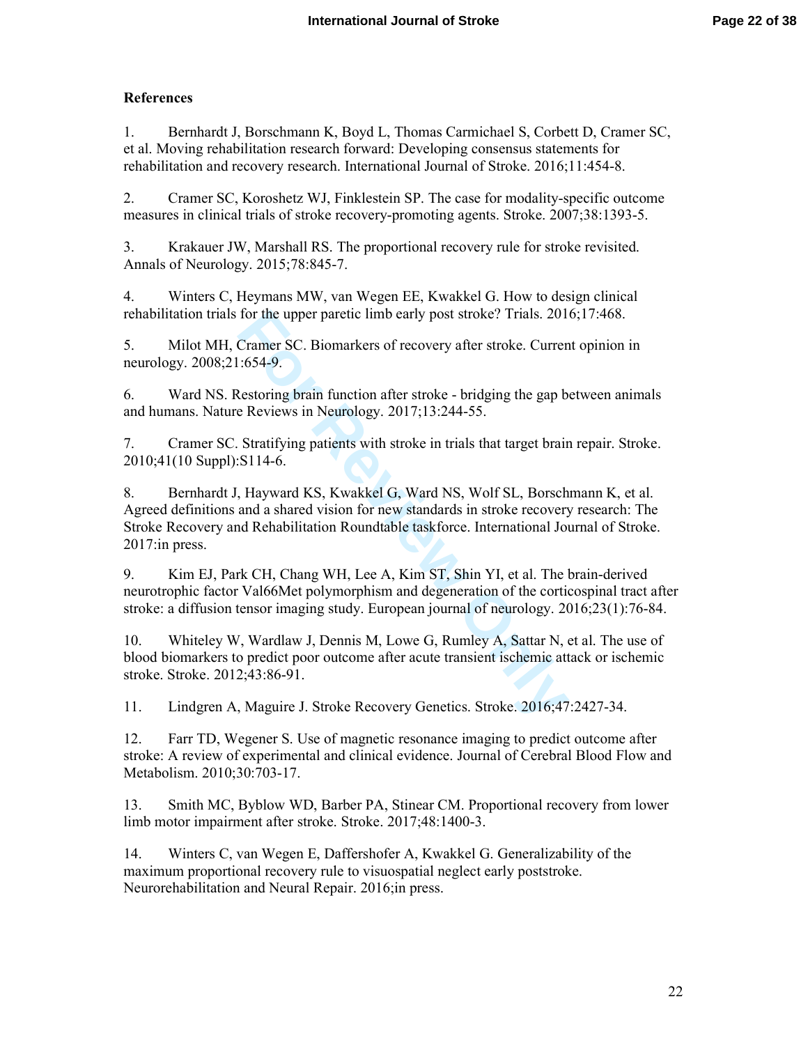# **References**

1. Bernhardt J, Borschmann K, Boyd L, Thomas Carmichael S, Corbett D, Cramer SC, et al. Moving rehabilitation research forward: Developing consensus statements for rehabilitation and recovery research. International Journal of Stroke. 2016;11:454-8.

2. Cramer SC, Koroshetz WJ, Finklestein SP. The case for modality-specific outcome measures in clinical trials of stroke recovery-promoting agents. Stroke. 2007;38:1393-5.

3. Krakauer JW, Marshall RS. The proportional recovery rule for stroke revisited. Annals of Neurology. 2015;78:845-7.

4. Winters C, Heymans MW, van Wegen EE, Kwakkel G. How to design clinical rehabilitation trials for the upper paretic limb early post stroke? Trials. 2016;17:468.

5. Milot MH, Cramer SC. Biomarkers of recovery after stroke. Current opinion in neurology. 2008;21:654-9.

6. Ward NS. Restoring brain function after stroke - bridging the gap between animals and humans. Nature Reviews in Neurology. 2017;13:244-55.

7. Cramer SC. Stratifying patients with stroke in trials that target brain repair. Stroke. 2010;41(10 Suppl):S114-6.

for the upper paretic limb early post stroke? Trials. 201<br>Cramer SC. Biomarkers of recovery after stroke. Currer<br>:654-9.<br>Restoring brain function after stroke - bridging the gap b<br>Reviews in Neurology. 2017;13:244-55.<br>Stra 8. Bernhardt J, Hayward KS, Kwakkel G, Ward NS, Wolf SL, Borschmann K, et al. Agreed definitions and a shared vision for new standards in stroke recovery research: The Stroke Recovery and Rehabilitation Roundtable taskforce. International Journal of Stroke. 2017:in press.

9. Kim EJ, Park CH, Chang WH, Lee A, Kim ST, Shin YI, et al. The brain-derived neurotrophic factor Val66Met polymorphism and degeneration of the corticospinal tract after stroke: a diffusion tensor imaging study. European journal of neurology. 2016;23(1):76-84.

10. Whiteley W, Wardlaw J, Dennis M, Lowe G, Rumley A, Sattar N, et al. The use of blood biomarkers to predict poor outcome after acute transient ischemic attack or ischemic stroke. Stroke. 2012;43:86-91.

11. Lindgren A, Maguire J. Stroke Recovery Genetics. Stroke. 2016;47:2427-34.

12. Farr TD, Wegener S. Use of magnetic resonance imaging to predict outcome after stroke: A review of experimental and clinical evidence. Journal of Cerebral Blood Flow and Metabolism. 2010;30:703-17.

13. Smith MC, Byblow WD, Barber PA, Stinear CM. Proportional recovery from lower limb motor impairment after stroke. Stroke. 2017;48:1400-3.

14. Winters C, van Wegen E, Daffershofer A, Kwakkel G. Generalizability of the maximum proportional recovery rule to visuospatial neglect early poststroke. Neurorehabilitation and Neural Repair. 2016;in press.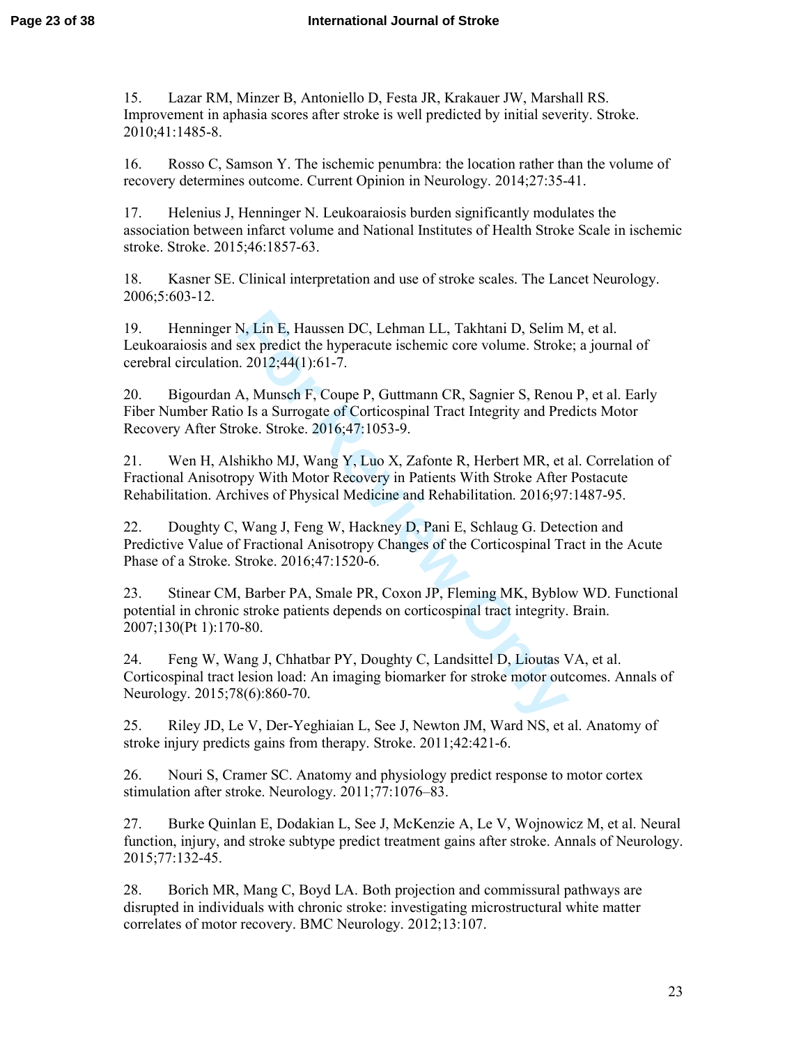15. Lazar RM, Minzer B, Antoniello D, Festa JR, Krakauer JW, Marshall RS. Improvement in aphasia scores after stroke is well predicted by initial severity. Stroke. 2010;41:1485-8.

16. Rosso C, Samson Y. The ischemic penumbra: the location rather than the volume of recovery determines outcome. Current Opinion in Neurology. 2014;27:35-41.

17. Helenius J, Henninger N. Leukoaraiosis burden significantly modulates the association between infarct volume and National Institutes of Health Stroke Scale in ischemic stroke. Stroke. 2015;46:1857-63.

18. Kasner SE. Clinical interpretation and use of stroke scales. The Lancet Neurology. 2006;5:603-12.

19. Henninger N, Lin E, Haussen DC, Lehman LL, Takhtani D, Selim M, et al. Leukoaraiosis and sex predict the hyperacute ischemic core volume. Stroke; a journal of cerebral circulation. 2012;44(1):61-7.

20. Bigourdan A, Munsch F, Coupe P, Guttmann CR, Sagnier S, Renou P, et al. Early Fiber Number Ratio Is a Surrogate of Corticospinal Tract Integrity and Predicts Motor Recovery After Stroke. Stroke. 2016;47:1053-9.

21. Wen H, Alshikho MJ, Wang Y, Luo X, Zafonte R, Herbert MR, et al. Correlation of Fractional Anisotropy With Motor Recovery in Patients With Stroke After Postacute Rehabilitation. Archives of Physical Medicine and Rehabilitation. 2016;97:1487-95.

22. Doughty C, Wang J, Feng W, Hackney D, Pani E, Schlaug G. Detection and Predictive Value of Fractional Anisotropy Changes of the Corticospinal Tract in the Acute Phase of a Stroke. Stroke. 2016;47:1520-6.

N, Lin E, Haussen DC, Lehman LL, Takhtani D, Selim lsex predict the hyperacute ischemic core volume. Stroke . 2012;44(1):61-7.<br>
A, Munsch F, Coupe P, Guttmann CR, Sagnier S, Renou D Is a Surrogate of Corticospinal Tract In 23. Stinear CM, Barber PA, Smale PR, Coxon JP, Fleming MK, Byblow WD. Functional potential in chronic stroke patients depends on corticospinal tract integrity. Brain. 2007;130(Pt 1):170-80.

24. Feng W, Wang J, Chhatbar PY, Doughty C, Landsittel D, Lioutas VA, et al. Corticospinal tract lesion load: An imaging biomarker for stroke motor outcomes. Annals of Neurology. 2015;78(6):860-70.

25. Riley JD, Le V, Der-Yeghiaian L, See J, Newton JM, Ward NS, et al. Anatomy of stroke injury predicts gains from therapy. Stroke. 2011;42:421-6.

26. Nouri S, Cramer SC. Anatomy and physiology predict response to motor cortex stimulation after stroke. Neurology. 2011;77:1076–83.

27. Burke Quinlan E, Dodakian L, See J, McKenzie A, Le V, Wojnowicz M, et al. Neural function, injury, and stroke subtype predict treatment gains after stroke. Annals of Neurology. 2015;77:132-45.

28. Borich MR, Mang C, Boyd LA. Both projection and commissural pathways are disrupted in individuals with chronic stroke: investigating microstructural white matter correlates of motor recovery. BMC Neurology. 2012;13:107.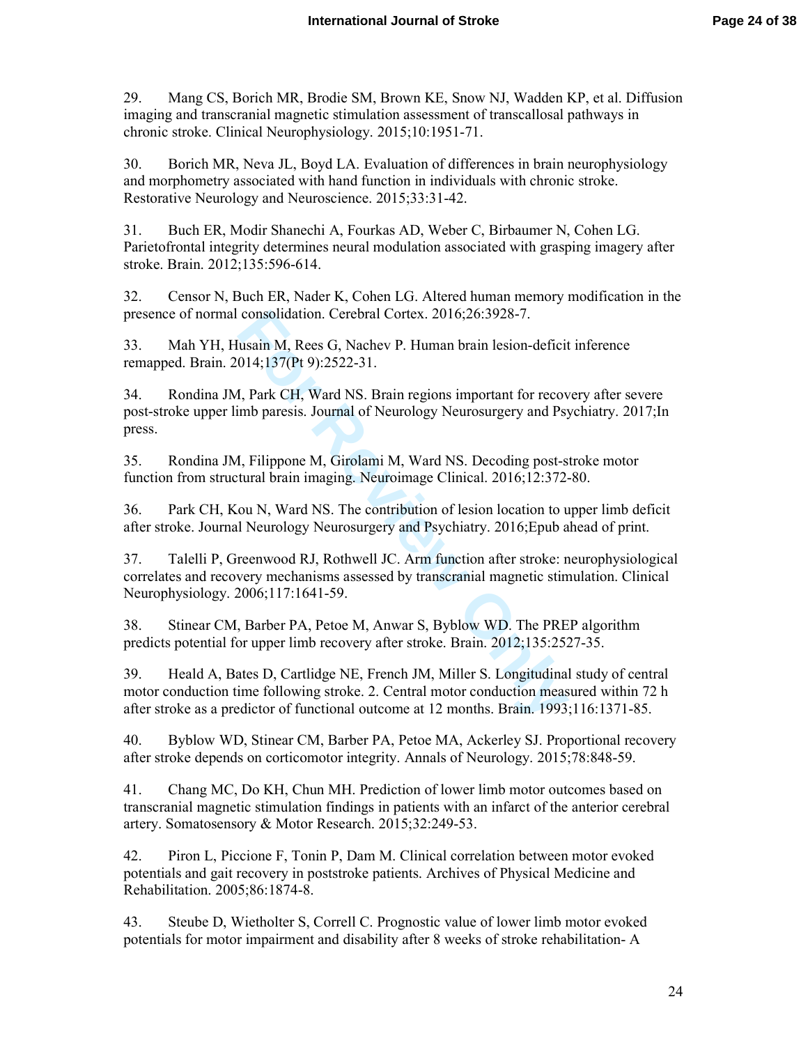29. Mang CS, Borich MR, Brodie SM, Brown KE, Snow NJ, Wadden KP, et al. Diffusion imaging and transcranial magnetic stimulation assessment of transcallosal pathways in chronic stroke. Clinical Neurophysiology. 2015;10:1951-71.

30. Borich MR, Neva JL, Boyd LA. Evaluation of differences in brain neurophysiology and morphometry associated with hand function in individuals with chronic stroke. Restorative Neurology and Neuroscience. 2015;33:31-42.

31. Buch ER, Modir Shanechi A, Fourkas AD, Weber C, Birbaumer N, Cohen LG. Parietofrontal integrity determines neural modulation associated with grasping imagery after stroke. Brain. 2012;135:596-614.

32. Censor N, Buch ER, Nader K, Cohen LG. Altered human memory modification in the presence of normal consolidation. Cerebral Cortex. 2016;26:3928-7.

33. Mah YH, Husain M, Rees G, Nachev P. Human brain lesion-deficit inference remapped. Brain. 2014;137(Pt 9):2522-31.

34. Rondina JM, Park CH, Ward NS. Brain regions important for recovery after severe post-stroke upper limb paresis. Journal of Neurology Neurosurgery and Psychiatry. 2017;In press.

35. Rondina JM, Filippone M, Girolami M, Ward NS. Decoding post-stroke motor function from structural brain imaging. Neuroimage Clinical. 2016;12:372-80.

36. Park CH, Kou N, Ward NS. The contribution of lesion location to upper limb deficit after stroke. Journal Neurology Neurosurgery and Psychiatry. 2016;Epub ahead of print.

37. Talelli P, Greenwood RJ, Rothwell JC. Arm function after stroke: neurophysiological correlates and recovery mechanisms assessed by transcranial magnetic stimulation. Clinical Neurophysiology. 2006;117:1641-59.

38. Stinear CM, Barber PA, Petoe M, Anwar S, Byblow WD. The PREP algorithm predicts potential for upper limb recovery after stroke. Brain. 2012;135:2527-35.

consolidation. Cerebral Cortex. 2016;26:3928-7.<br>
usain M, Rees G, Nachev P. Human brain lesion-deficit<br>
014;137(Pt 9):2522-31.<br> **I**, Park CH, Ward NS. Brain regions important for recov<br>
imb paresis. Journal of Neurology Ne 39. Heald A, Bates D, Cartlidge NE, French JM, Miller S. Longitudinal study of central motor conduction time following stroke. 2. Central motor conduction measured within 72 h after stroke as a predictor of functional outcome at 12 months. Brain. 1993;116:1371-85.

40. Byblow WD, Stinear CM, Barber PA, Petoe MA, Ackerley SJ. Proportional recovery after stroke depends on corticomotor integrity. Annals of Neurology. 2015;78:848-59.

41. Chang MC, Do KH, Chun MH. Prediction of lower limb motor outcomes based on transcranial magnetic stimulation findings in patients with an infarct of the anterior cerebral artery. Somatosensory & Motor Research. 2015;32:249-53.

42. Piron L, Piccione F, Tonin P, Dam M. Clinical correlation between motor evoked potentials and gait recovery in poststroke patients. Archives of Physical Medicine and Rehabilitation. 2005;86:1874-8.

43. Steube D, Wietholter S, Correll C. Prognostic value of lower limb motor evoked potentials for motor impairment and disability after 8 weeks of stroke rehabilitation- A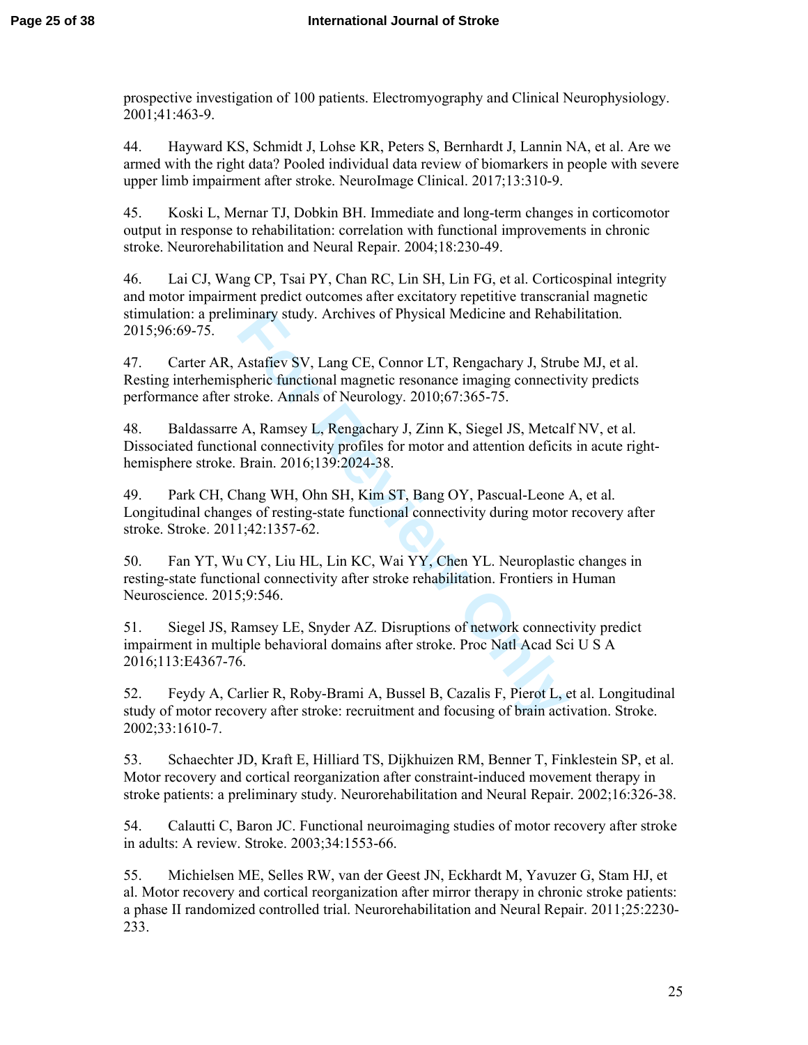prospective investigation of 100 patients. Electromyography and Clinical Neurophysiology. 2001;41:463-9.

44. Hayward KS, Schmidt J, Lohse KR, Peters S, Bernhardt J, Lannin NA, et al. Are we armed with the right data? Pooled individual data review of biomarkers in people with severe upper limb impairment after stroke. NeuroImage Clinical. 2017;13:310-9.

45. Koski L, Mernar TJ, Dobkin BH. Immediate and long-term changes in corticomotor output in response to rehabilitation: correlation with functional improvements in chronic stroke. Neurorehabilitation and Neural Repair. 2004;18:230-49.

46. Lai CJ, Wang CP, Tsai PY, Chan RC, Lin SH, Lin FG, et al. Corticospinal integrity and motor impairment predict outcomes after excitatory repetitive transcranial magnetic stimulation: a preliminary study. Archives of Physical Medicine and Rehabilitation. 2015;96:69-75.

47. Carter AR, Astafiev SV, Lang CE, Connor LT, Rengachary J, Strube MJ, et al. Resting interhemispheric functional magnetic resonance imaging connectivity predicts performance after stroke. Annals of Neurology. 2010;67:365-75.

48. Baldassarre A, Ramsey L, Rengachary J, Zinn K, Siegel JS, Metcalf NV, et al. Dissociated functional connectivity profiles for motor and attention deficits in acute righthemisphere stroke. Brain. 2016;139:2024-38.

minary study. Archives of Physical Medicine and Rehabsor<br>Astafiev SV, Lang CE, Connor LT, Rengachary J, Strut<br>pheric functional magnetic resonance imaging connective<br>troke. Annals of Neurology. 2010;67:365-75.<br>A, Ramsey L, 49. Park CH, Chang WH, Ohn SH, Kim ST, Bang OY, Pascual-Leone A, et al. Longitudinal changes of resting-state functional connectivity during motor recovery after stroke. Stroke. 2011;42:1357-62.

50. Fan YT, Wu CY, Liu HL, Lin KC, Wai YY, Chen YL. Neuroplastic changes in resting-state functional connectivity after stroke rehabilitation. Frontiers in Human Neuroscience. 2015;9:546.

51. Siegel JS, Ramsey LE, Snyder AZ. Disruptions of network connectivity predict impairment in multiple behavioral domains after stroke. Proc Natl Acad Sci U S A 2016;113:E4367-76.

52. Feydy A, Carlier R, Roby-Brami A, Bussel B, Cazalis F, Pierot L, et al. Longitudinal study of motor recovery after stroke: recruitment and focusing of brain activation. Stroke. 2002;33:1610-7.

53. Schaechter JD, Kraft E, Hilliard TS, Dijkhuizen RM, Benner T, Finklestein SP, et al. Motor recovery and cortical reorganization after constraint-induced movement therapy in stroke patients: a preliminary study. Neurorehabilitation and Neural Repair. 2002;16:326-38.

54. Calautti C, Baron JC. Functional neuroimaging studies of motor recovery after stroke in adults: A review. Stroke. 2003;34:1553-66.

55. Michielsen ME, Selles RW, van der Geest JN, Eckhardt M, Yavuzer G, Stam HJ, et al. Motor recovery and cortical reorganization after mirror therapy in chronic stroke patients: a phase II randomized controlled trial. Neurorehabilitation and Neural Repair. 2011;25:2230- 233.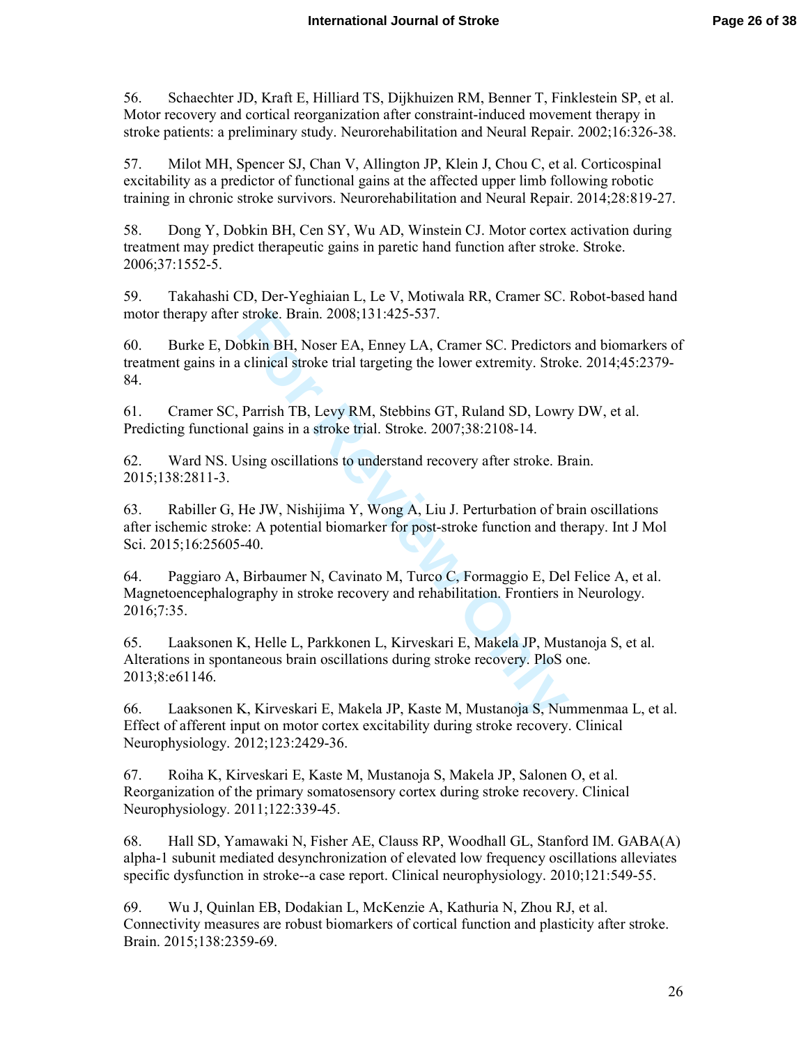56. Schaechter JD, Kraft E, Hilliard TS, Dijkhuizen RM, Benner T, Finklestein SP, et al. Motor recovery and cortical reorganization after constraint-induced movement therapy in stroke patients: a preliminary study. Neurorehabilitation and Neural Repair. 2002;16:326-38.

57. Milot MH, Spencer SJ, Chan V, Allington JP, Klein J, Chou C, et al. Corticospinal excitability as a predictor of functional gains at the affected upper limb following robotic training in chronic stroke survivors. Neurorehabilitation and Neural Repair. 2014;28:819-27.

58. Dong Y, Dobkin BH, Cen SY, Wu AD, Winstein CJ. Motor cortex activation during treatment may predict therapeutic gains in paretic hand function after stroke. Stroke. 2006;37:1552-5.

59. Takahashi CD, Der-Yeghiaian L, Le V, Motiwala RR, Cramer SC. Robot-based hand motor therapy after stroke. Brain. 2008;131:425-537.

60. Burke E, Dobkin BH, Noser EA, Enney LA, Cramer SC. Predictors and biomarkers of treatment gains in a clinical stroke trial targeting the lower extremity. Stroke. 2014;45:2379- 84.

61. Cramer SC, Parrish TB, Levy RM, Stebbins GT, Ruland SD, Lowry DW, et al. Predicting functional gains in a stroke trial. Stroke. 2007;38:2108-14.

62. Ward NS. Using oscillations to understand recovery after stroke. Brain. 2015;138:2811-3.

stroke. Brain. 2008;131:425-537.<br>
bbkin BH, Noser EA, Enney LA, Cramer SC. Predictors<br>
clinical stroke trial targeting the lower extremity. Strok<br>
Parrish TB, Levy RM, Stebbins GT, Ruland SD, Lowr<br>
al gains in a stroke tri 63. Rabiller G, He JW, Nishijima Y, Wong A, Liu J. Perturbation of brain oscillations after ischemic stroke: A potential biomarker for post-stroke function and therapy. Int J Mol Sci. 2015;16:25605-40.

64. Paggiaro A, Birbaumer N, Cavinato M, Turco C, Formaggio E, Del Felice A, et al. Magnetoencephalography in stroke recovery and rehabilitation. Frontiers in Neurology. 2016;7:35.

65. Laaksonen K, Helle L, Parkkonen L, Kirveskari E, Makela JP, Mustanoja S, et al. Alterations in spontaneous brain oscillations during stroke recovery. PloS one. 2013;8:e61146.

66. Laaksonen K, Kirveskari E, Makela JP, Kaste M, Mustanoja S, Nummenmaa L, et al. Effect of afferent input on motor cortex excitability during stroke recovery. Clinical Neurophysiology. 2012;123:2429-36.

67. Roiha K, Kirveskari E, Kaste M, Mustanoja S, Makela JP, Salonen O, et al. Reorganization of the primary somatosensory cortex during stroke recovery. Clinical Neurophysiology. 2011;122:339-45.

68. Hall SD, Yamawaki N, Fisher AE, Clauss RP, Woodhall GL, Stanford IM. GABA(A) alpha-1 subunit mediated desynchronization of elevated low frequency oscillations alleviates specific dysfunction in stroke--a case report. Clinical neurophysiology. 2010;121:549-55.

69. Wu J, Quinlan EB, Dodakian L, McKenzie A, Kathuria N, Zhou RJ, et al. Connectivity measures are robust biomarkers of cortical function and plasticity after stroke. Brain. 2015;138:2359-69.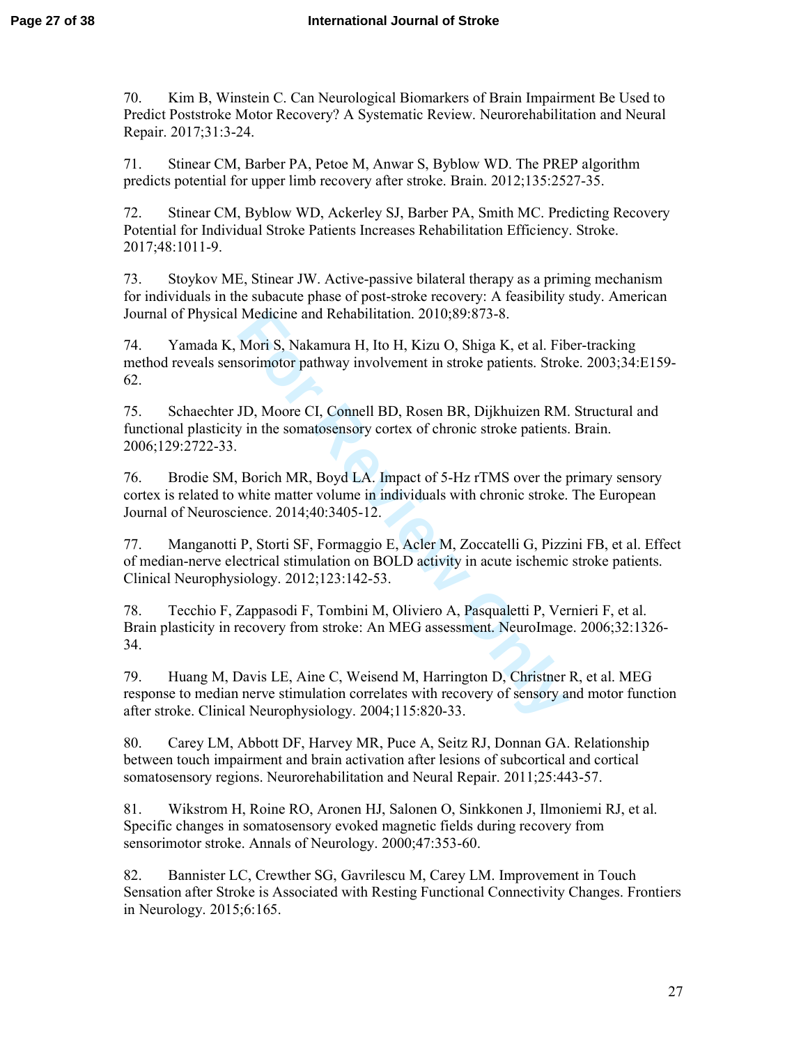70. Kim B, Winstein C. Can Neurological Biomarkers of Brain Impairment Be Used to Predict Poststroke Motor Recovery? A Systematic Review. Neurorehabilitation and Neural Repair. 2017;31:3-24.

71. Stinear CM, Barber PA, Petoe M, Anwar S, Byblow WD. The PREP algorithm predicts potential for upper limb recovery after stroke. Brain. 2012;135:2527-35.

72. Stinear CM, Byblow WD, Ackerley SJ, Barber PA, Smith MC. Predicting Recovery Potential for Individual Stroke Patients Increases Rehabilitation Efficiency. Stroke. 2017;48:1011-9.

73. Stoykov ME, Stinear JW. Active-passive bilateral therapy as a priming mechanism for individuals in the subacute phase of post-stroke recovery: A feasibility study. American Journal of Physical Medicine and Rehabilitation. 2010;89:873-8.

Medicine and Rehabilitation. 2010;89:873-8.<br>
Mori S, Nakamura H, Ito H, Kizu O, Shiga K, et al. Fibsorimotor pathway involvement in stroke patients. Strok<br>
JD, Moore CI, Connell BD, Rosen BR, Dijkhuizen RM.<br>
JD, Moore CI, 74. Yamada K, Mori S, Nakamura H, Ito H, Kizu O, Shiga K, et al. Fiber-tracking method reveals sensorimotor pathway involvement in stroke patients. Stroke. 2003;34:E159- 62.

75. Schaechter JD, Moore CI, Connell BD, Rosen BR, Dijkhuizen RM. Structural and functional plasticity in the somatosensory cortex of chronic stroke patients. Brain. 2006;129:2722-33.

76. Brodie SM, Borich MR, Boyd LA. Impact of 5-Hz rTMS over the primary sensory cortex is related to white matter volume in individuals with chronic stroke. The European Journal of Neuroscience. 2014;40:3405-12.

77. Manganotti P, Storti SF, Formaggio E, Acler M, Zoccatelli G, Pizzini FB, et al. Effect of median-nerve electrical stimulation on BOLD activity in acute ischemic stroke patients. Clinical Neurophysiology. 2012;123:142-53.

78. Tecchio F, Zappasodi F, Tombini M, Oliviero A, Pasqualetti P, Vernieri F, et al. Brain plasticity in recovery from stroke: An MEG assessment. NeuroImage. 2006;32:1326- 34.

79. Huang M, Davis LE, Aine C, Weisend M, Harrington D, Christner R, et al. MEG response to median nerve stimulation correlates with recovery of sensory and motor function after stroke. Clinical Neurophysiology. 2004;115:820-33.

80. Carey LM, Abbott DF, Harvey MR, Puce A, Seitz RJ, Donnan GA. Relationship between touch impairment and brain activation after lesions of subcortical and cortical somatosensory regions. Neurorehabilitation and Neural Repair. 2011;25:443-57.

81. Wikstrom H, Roine RO, Aronen HJ, Salonen O, Sinkkonen J, Ilmoniemi RJ, et al. Specific changes in somatosensory evoked magnetic fields during recovery from sensorimotor stroke. Annals of Neurology. 2000;47:353-60.

82. Bannister LC, Crewther SG, Gavrilescu M, Carey LM. Improvement in Touch Sensation after Stroke is Associated with Resting Functional Connectivity Changes. Frontiers in Neurology. 2015;6:165.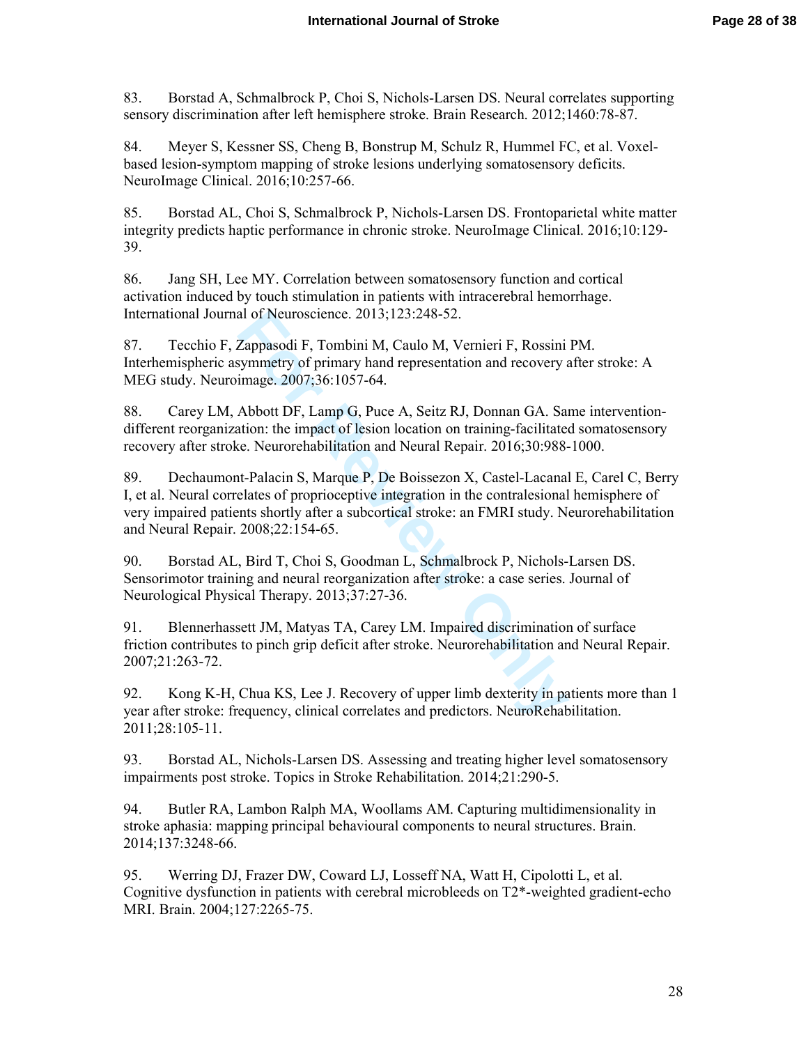83. Borstad A, Schmalbrock P, Choi S, Nichols-Larsen DS. Neural correlates supporting sensory discrimination after left hemisphere stroke. Brain Research. 2012;1460:78-87.

84. Meyer S, Kessner SS, Cheng B, Bonstrup M, Schulz R, Hummel FC, et al. Voxelbased lesion-symptom mapping of stroke lesions underlying somatosensory deficits. NeuroImage Clinical. 2016;10:257-66.

85. Borstad AL, Choi S, Schmalbrock P, Nichols-Larsen DS. Frontoparietal white matter integrity predicts haptic performance in chronic stroke. NeuroImage Clinical. 2016;10:129- 39.

86. Jang SH, Lee MY. Correlation between somatosensory function and cortical activation induced by touch stimulation in patients with intracerebral hemorrhage. International Journal of Neuroscience. 2013;123:248-52.

87. Tecchio F, Zappasodi F, Tombini M, Caulo M, Vernieri F, Rossini PM. Interhemispheric asymmetry of primary hand representation and recovery after stroke: A MEG study. Neuroimage. 2007;36:1057-64.

88. Carey LM, Abbott DF, Lamp G, Puce A, Seitz RJ, Donnan GA. Same interventiondifferent reorganization: the impact of lesion location on training-facilitated somatosensory recovery after stroke. Neurorehabilitation and Neural Repair. 2016;30:988-1000.

al of Neuroscience. 2013;123:248-52.<br>
Zappasodi F, Tombini M, Caulo M, Vernieri F, Rossini<br>
symmetry of primary hand representation and recovery a<br>
image. 2007;36:1057-64.<br>
Abbott DF, Lamp G, Puce A, Seitz RJ, Donnan GA. S 89. Dechaumont-Palacin S, Marque P, De Boissezon X, Castel-Lacanal E, Carel C, Berry I, et al. Neural correlates of proprioceptive integration in the contralesional hemisphere of very impaired patients shortly after a subcortical stroke: an FMRI study. Neurorehabilitation and Neural Repair. 2008;22:154-65.

90. Borstad AL, Bird T, Choi S, Goodman L, Schmalbrock P, Nichols-Larsen DS. Sensorimotor training and neural reorganization after stroke: a case series. Journal of Neurological Physical Therapy. 2013;37:27-36.

91. Blennerhassett JM, Matyas TA, Carey LM. Impaired discrimination of surface friction contributes to pinch grip deficit after stroke. Neurorehabilitation and Neural Repair. 2007;21:263-72.

92. Kong K-H, Chua KS, Lee J. Recovery of upper limb dexterity in patients more than 1 year after stroke: frequency, clinical correlates and predictors. NeuroRehabilitation. 2011;28:105-11.

93. Borstad AL, Nichols-Larsen DS. Assessing and treating higher level somatosensory impairments post stroke. Topics in Stroke Rehabilitation. 2014;21:290-5.

94. Butler RA, Lambon Ralph MA, Woollams AM. Capturing multidimensionality in stroke aphasia: mapping principal behavioural components to neural structures. Brain. 2014;137:3248-66.

95. Werring DJ, Frazer DW, Coward LJ, Losseff NA, Watt H, Cipolotti L, et al. Cognitive dysfunction in patients with cerebral microbleeds on T2\*-weighted gradient-echo MRI. Brain. 2004;127:2265-75.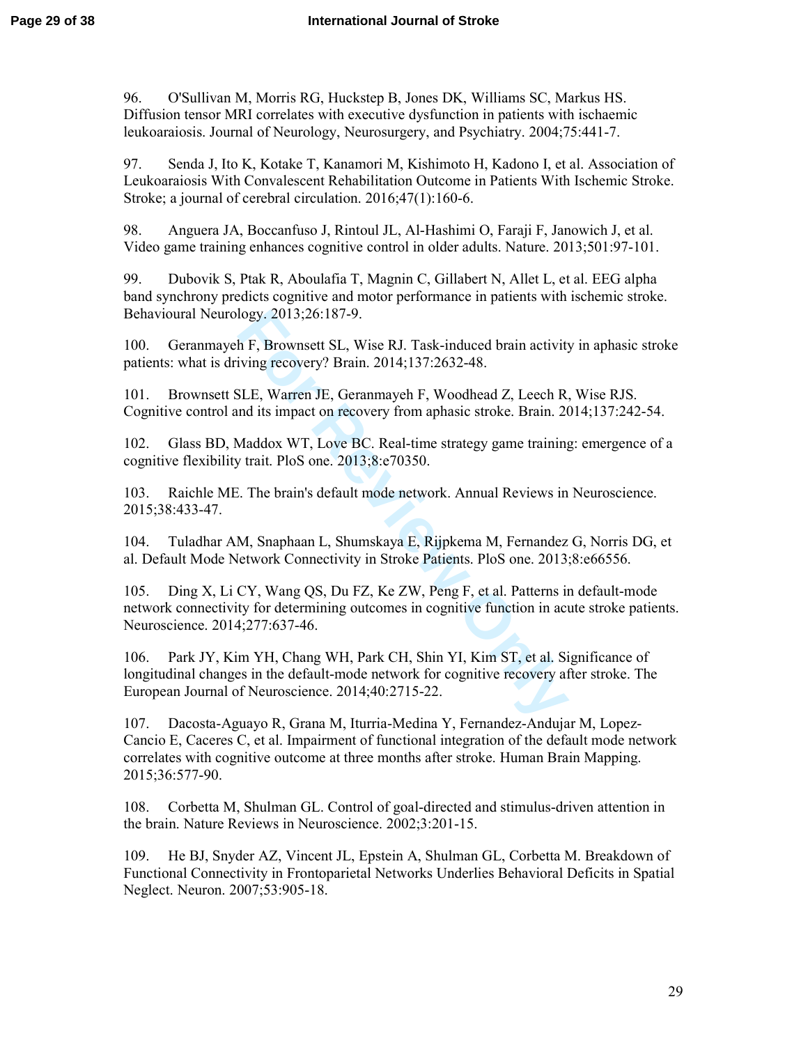96. O'Sullivan M, Morris RG, Huckstep B, Jones DK, Williams SC, Markus HS. Diffusion tensor MRI correlates with executive dysfunction in patients with ischaemic leukoaraiosis. Journal of Neurology, Neurosurgery, and Psychiatry. 2004;75:441-7.

97. Senda J, Ito K, Kotake T, Kanamori M, Kishimoto H, Kadono I, et al. Association of Leukoaraiosis With Convalescent Rehabilitation Outcome in Patients With Ischemic Stroke. Stroke; a journal of cerebral circulation. 2016;47(1):160-6.

98. Anguera JA, Boccanfuso J, Rintoul JL, Al-Hashimi O, Faraji F, Janowich J, et al. Video game training enhances cognitive control in older adults. Nature. 2013;501:97-101.

99. Dubovik S, Ptak R, Aboulafia T, Magnin C, Gillabert N, Allet L, et al. EEG alpha band synchrony predicts cognitive and motor performance in patients with ischemic stroke. Behavioural Neurology. 2013;26:187-9.

100. Geranmayeh F, Brownsett SL, Wise RJ. Task-induced brain activity in aphasic stroke patients: what is driving recovery? Brain. 2014;137:2632-48.

101. Brownsett SLE, Warren JE, Geranmayeh F, Woodhead Z, Leech R, Wise RJS. Cognitive control and its impact on recovery from aphasic stroke. Brain. 2014;137:242-54.

102. Glass BD, Maddox WT, Love BC. Real-time strategy game training: emergence of a cognitive flexibility trait. PloS one. 2013;8:e70350.

103. Raichle ME. The brain's default mode network. Annual Reviews in Neuroscience. 2015;38:433-47.

104. Tuladhar AM, Snaphaan L, Shumskaya E, Rijpkema M, Fernandez G, Norris DG, et al. Default Mode Network Connectivity in Stroke Patients. PloS one. 2013;8:e66556.

logy. 2013;26:187-9.<br>
h F, Brownsett SL, Wise RJ. Task-induced brain activity<br>
iving recovery? Brain. 2014;137:2632-48.<br>
SLE, Warren JE, Geranmayeh F, Woodhead Z, Leech R<br>
dits impact on recovery from aphasic stroke. Brain 105. Ding X, Li CY, Wang QS, Du FZ, Ke ZW, Peng F, et al. Patterns in default-mode network connectivity for determining outcomes in cognitive function in acute stroke patients. Neuroscience. 2014;277:637-46.

106. Park JY, Kim YH, Chang WH, Park CH, Shin YI, Kim ST, et al. Significance of longitudinal changes in the default-mode network for cognitive recovery after stroke. The European Journal of Neuroscience. 2014;40:2715-22.

107. Dacosta-Aguayo R, Grana M, Iturria-Medina Y, Fernandez-Andujar M, Lopez-Cancio E, Caceres C, et al. Impairment of functional integration of the default mode network correlates with cognitive outcome at three months after stroke. Human Brain Mapping. 2015;36:577-90.

108. Corbetta M, Shulman GL. Control of goal-directed and stimulus-driven attention in the brain. Nature Reviews in Neuroscience. 2002;3:201-15.

109. He BJ, Snyder AZ, Vincent JL, Epstein A, Shulman GL, Corbetta M. Breakdown of Functional Connectivity in Frontoparietal Networks Underlies Behavioral Deficits in Spatial Neglect. Neuron. 2007;53:905-18.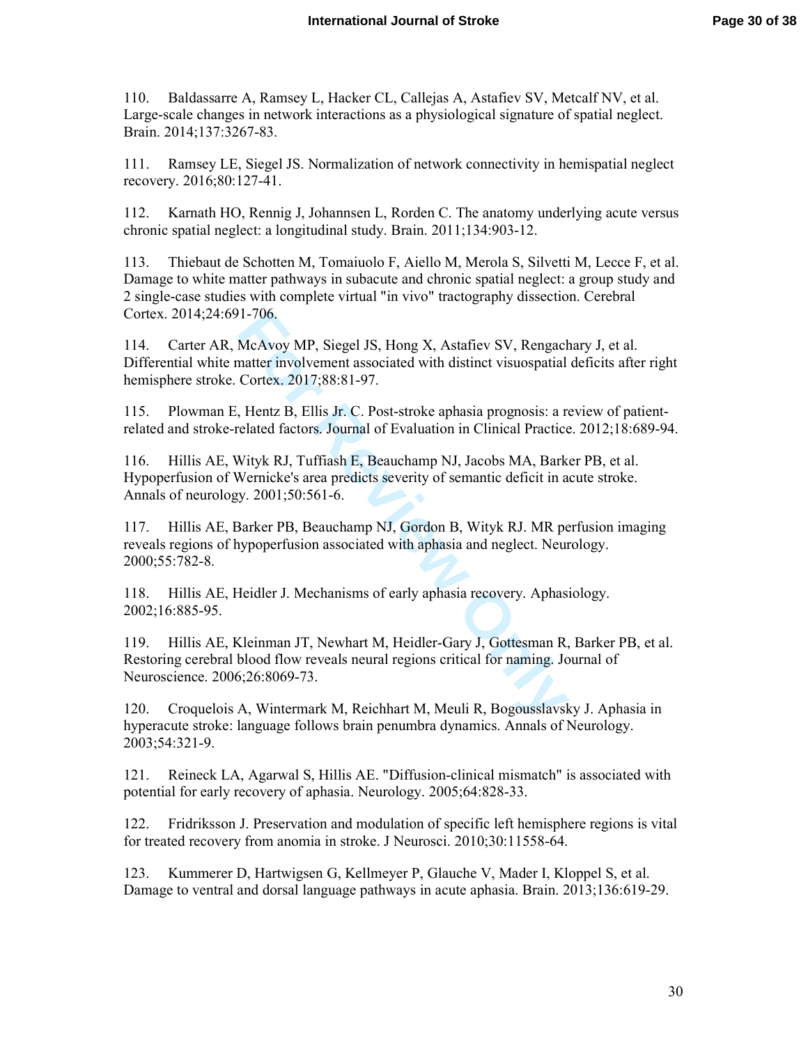110. Baldassarre A, Ramsey L, Hacker CL, Callejas A, Astafiev SV, Metcalf NV, et al. Large-scale changes in network interactions as a physiological signature of spatial neglect. Brain. 2014;137:3267-83.

111. Ramsey LE, Siegel JS. Normalization of network connectivity in hemispatial neglect recovery. 2016;80:127-41.

112. Karnath HO, Rennig J, Johannsen L, Rorden C. The anatomy underlying acute versus chronic spatial neglect: a longitudinal study. Brain. 2011;134:903-12.

113. Thiebaut de Schotten M, Tomaiuolo F, Aiello M, Merola S, Silvetti M, Lecce F, et al. Damage to white matter pathways in subacute and chronic spatial neglect: a group study and 2 single-case studies with complete virtual "in vivo" tractography dissection. Cerebral Cortex. 2014;24:691-706.

11-706.<br>
McAvoy MP, Siegel JS, Hong X, Astafiev SV, Rengach<br>
matter involvement associated with distinct visuospatial<br>
Cortex. 2017;88:81-97.<br>
Flentz B, Ellis Jr. C. Post-stroke aphasia prognosis: a related factors. Journa 114. Carter AR, McAvoy MP, Siegel JS, Hong X, Astafiev SV, Rengachary J, et al. Differential white matter involvement associated with distinct visuospatial deficits after right hemisphere stroke. Cortex. 2017;88:81-97.

115. Plowman E, Hentz B, Ellis Jr. C. Post-stroke aphasia prognosis: a review of patientrelated and stroke-related factors. Journal of Evaluation in Clinical Practice. 2012;18:689-94.

116. Hillis AE, Wityk RJ, Tuffiash E, Beauchamp NJ, Jacobs MA, Barker PB, et al. Hypoperfusion of Wernicke's area predicts severity of semantic deficit in acute stroke. Annals of neurology. 2001;50:561-6.

117. Hillis AE, Barker PB, Beauchamp NJ, Gordon B, Wityk RJ. MR perfusion imaging reveals regions of hypoperfusion associated with aphasia and neglect. Neurology. 2000;55:782-8.

118. Hillis AE, Heidler J. Mechanisms of early aphasia recovery. Aphasiology. 2002;16:885-95.

119. Hillis AE, Kleinman JT, Newhart M, Heidler-Gary J, Gottesman R, Barker PB, et al. Restoring cerebral blood flow reveals neural regions critical for naming. Journal of Neuroscience. 2006;26:8069-73.

120. Croquelois A, Wintermark M, Reichhart M, Meuli R, Bogousslavsky J. Aphasia in hyperacute stroke: language follows brain penumbra dynamics. Annals of Neurology. 2003;54:321-9.

121. Reineck LA, Agarwal S, Hillis AE. "Diffusion-clinical mismatch" is associated with potential for early recovery of aphasia. Neurology. 2005;64:828-33.

122. Fridriksson J. Preservation and modulation of specific left hemisphere regions is vital for treated recovery from anomia in stroke. J Neurosci. 2010;30:11558-64.

123. Kummerer D, Hartwigsen G, Kellmeyer P, Glauche V, Mader I, Kloppel S, et al. Damage to ventral and dorsal language pathways in acute aphasia. Brain. 2013;136:619-29.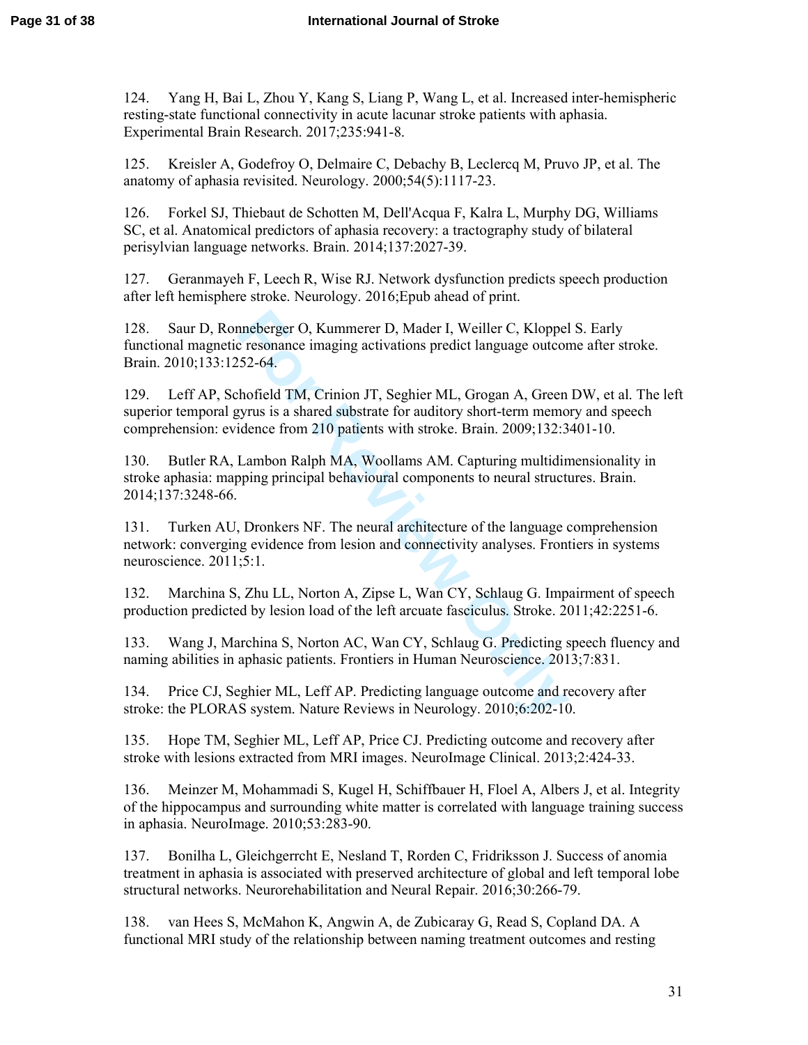124. Yang H, Bai L, Zhou Y, Kang S, Liang P, Wang L, et al. Increased inter-hemispheric resting-state functional connectivity in acute lacunar stroke patients with aphasia. Experimental Brain Research. 2017;235:941-8.

125. Kreisler A, Godefroy O, Delmaire C, Debachy B, Leclercq M, Pruvo JP, et al. The anatomy of aphasia revisited. Neurology. 2000;54(5):1117-23.

126. Forkel SJ, Thiebaut de Schotten M, Dell'Acqua F, Kalra L, Murphy DG, Williams SC, et al. Anatomical predictors of aphasia recovery: a tractography study of bilateral perisylvian language networks. Brain. 2014;137:2027-39.

127. Geranmayeh F, Leech R, Wise RJ. Network dysfunction predicts speech production after left hemisphere stroke. Neurology. 2016;Epub ahead of print.

nneberger O, Kummerer D, Mader I, Weiller C, Kloppel<br>
resonance imaging activations predict language outcor<br>
52-64.<br>
hofield TM, Crinion JT, Seghier ML, Grogan A, Green<br>
syrus is a shared substrate for auditory short-term 128. Saur D, Ronneberger O, Kummerer D, Mader I, Weiller C, Kloppel S. Early functional magnetic resonance imaging activations predict language outcome after stroke. Brain. 2010;133:1252-64.

129. Leff AP, Schofield TM, Crinion JT, Seghier ML, Grogan A, Green DW, et al. The left superior temporal gyrus is a shared substrate for auditory short-term memory and speech comprehension: evidence from 210 patients with stroke. Brain. 2009;132:3401-10.

130. Butler RA, Lambon Ralph MA, Woollams AM. Capturing multidimensionality in stroke aphasia: mapping principal behavioural components to neural structures. Brain. 2014;137:3248-66.

131. Turken AU, Dronkers NF. The neural architecture of the language comprehension network: converging evidence from lesion and connectivity analyses. Frontiers in systems neuroscience. 2011;5:1.

132. Marchina S, Zhu LL, Norton A, Zipse L, Wan CY, Schlaug G. Impairment of speech production predicted by lesion load of the left arcuate fasciculus. Stroke. 2011;42:2251-6.

133. Wang J, Marchina S, Norton AC, Wan CY, Schlaug G. Predicting speech fluency and naming abilities in aphasic patients. Frontiers in Human Neuroscience. 2013;7:831.

134. Price CJ, Seghier ML, Leff AP. Predicting language outcome and recovery after stroke: the PLORAS system. Nature Reviews in Neurology. 2010;6:202-10.

135. Hope TM, Seghier ML, Leff AP, Price CJ. Predicting outcome and recovery after stroke with lesions extracted from MRI images. NeuroImage Clinical. 2013;2:424-33.

136. Meinzer M, Mohammadi S, Kugel H, Schiffbauer H, Floel A, Albers J, et al. Integrity of the hippocampus and surrounding white matter is correlated with language training success in aphasia. NeuroImage. 2010;53:283-90.

137. Bonilha L, Gleichgerrcht E, Nesland T, Rorden C, Fridriksson J. Success of anomia treatment in aphasia is associated with preserved architecture of global and left temporal lobe structural networks. Neurorehabilitation and Neural Repair. 2016;30:266-79.

138. van Hees S, McMahon K, Angwin A, de Zubicaray G, Read S, Copland DA. A functional MRI study of the relationship between naming treatment outcomes and resting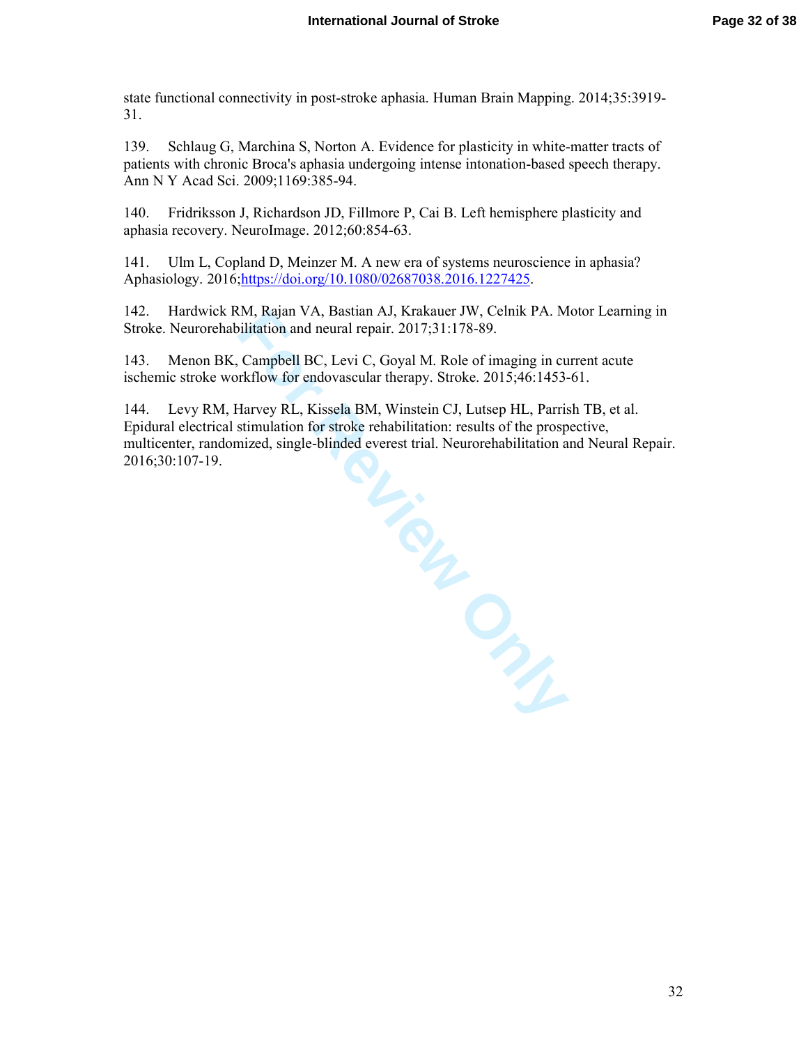state functional connectivity in post-stroke aphasia. Human Brain Mapping. 2014;35:3919- 31.

139. Schlaug G, Marchina S, Norton A. Evidence for plasticity in white-matter tracts of patients with chronic Broca's aphasia undergoing intense intonation-based speech therapy. Ann N Y Acad Sci. 2009;1169:385-94.

140. Fridriksson J, Richardson JD, Fillmore P, Cai B. Left hemisphere plasticity and aphasia recovery. NeuroImage. 2012;60:854-63.

141. Ulm L, Copland D, Meinzer M. A new era of systems neuroscience in aphasia? Aphasiology. 2016; https://doi.org/10.1080/02687038.2016.1227425.

142. Hardwick RM, Rajan VA, Bastian AJ, Krakauer JW, Celnik PA. Motor Learning in Stroke. Neurorehabilitation and neural repair. 2017;31:178-89.

143. Menon BK, Campbell BC, Levi C, Goyal M. Role of imaging in current acute ischemic stroke workflow for endovascular therapy. Stroke. 2015;46:1453-61.

144. Levy RM, Harvey RL, Kissela BM, Winstein CJ, Lutsep HL, Parrish TB, et al. Epidural electrical stimulation for stroke rehabilitation: results of the prospective, multicenter, randomized, single-blinded everest trial. Neurorehabilitation and Neural Repair. 2016;30:107-19.

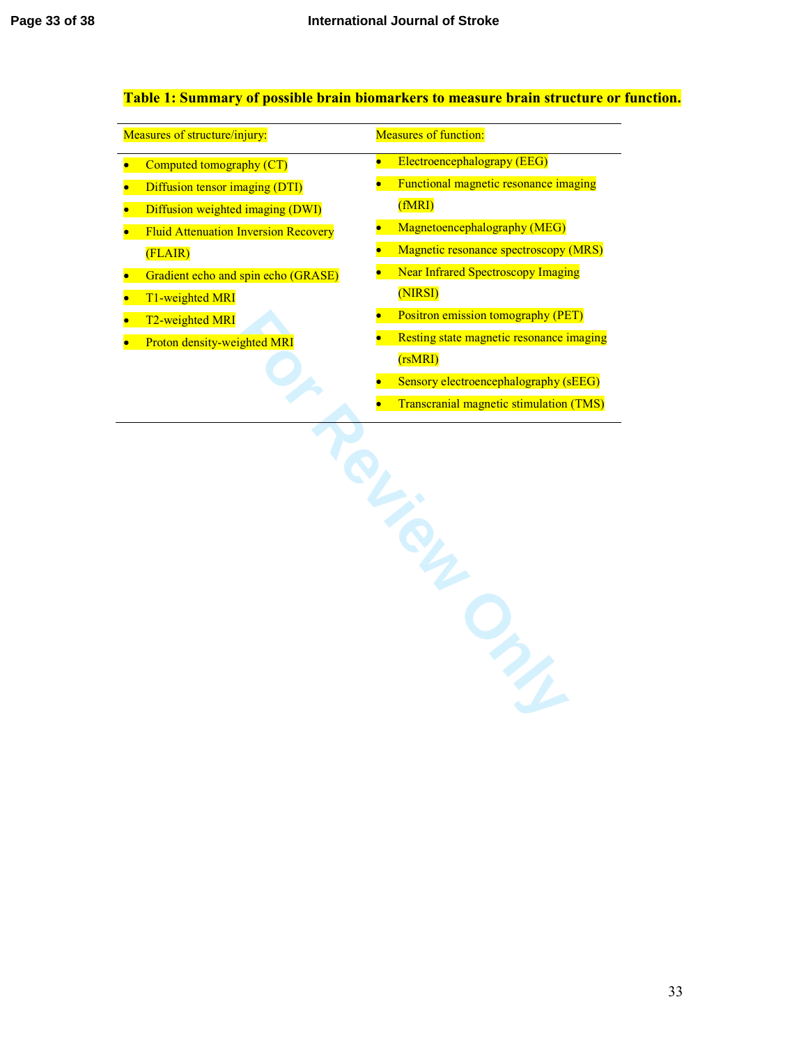$\overline{a}$ 

# **Table 1: Summary of possible brain biomarkers to measure brain structure or function.**

| Measures of structure/injury: |                                             | <b>Measures of function:</b> |                                                |
|-------------------------------|---------------------------------------------|------------------------------|------------------------------------------------|
| $\bullet$                     | Computed tomography (CT)                    | $\bullet$                    | Electroencephalograpy (EEG)                    |
| $\bullet$                     | Diffusion tensor imaging (DTI)              |                              | Functional magnetic resonance imaging          |
| $\bullet$                     | Diffusion weighted imaging (DWI)            |                              | (fMRI)                                         |
|                               | <b>Fluid Attenuation Inversion Recovery</b> |                              | Magnetoencephalography (MEG)                   |
|                               | (FLAIR)                                     |                              | Magnetic resonance spectroscopy (MRS)          |
| $\bullet$                     | Gradient echo and spin echo (GRASE)         |                              | <b>Near Infrared Spectroscopy Imaging</b>      |
|                               | T1-weighted MRI                             |                              | (NIRSI)                                        |
|                               | T2-weighted MRI                             |                              | <b>Positron emission tomography (PET)</b>      |
|                               | Proton density-weighted MRI                 |                              | Resting state magnetic resonance imaging       |
|                               |                                             |                              | (rsMRI)                                        |
|                               |                                             |                              | Sensory electroencephalography (sEEG)          |
|                               |                                             |                              | <b>Transcranial magnetic stimulation (TMS)</b> |
|                               |                                             |                              | SL<br>ONS                                      |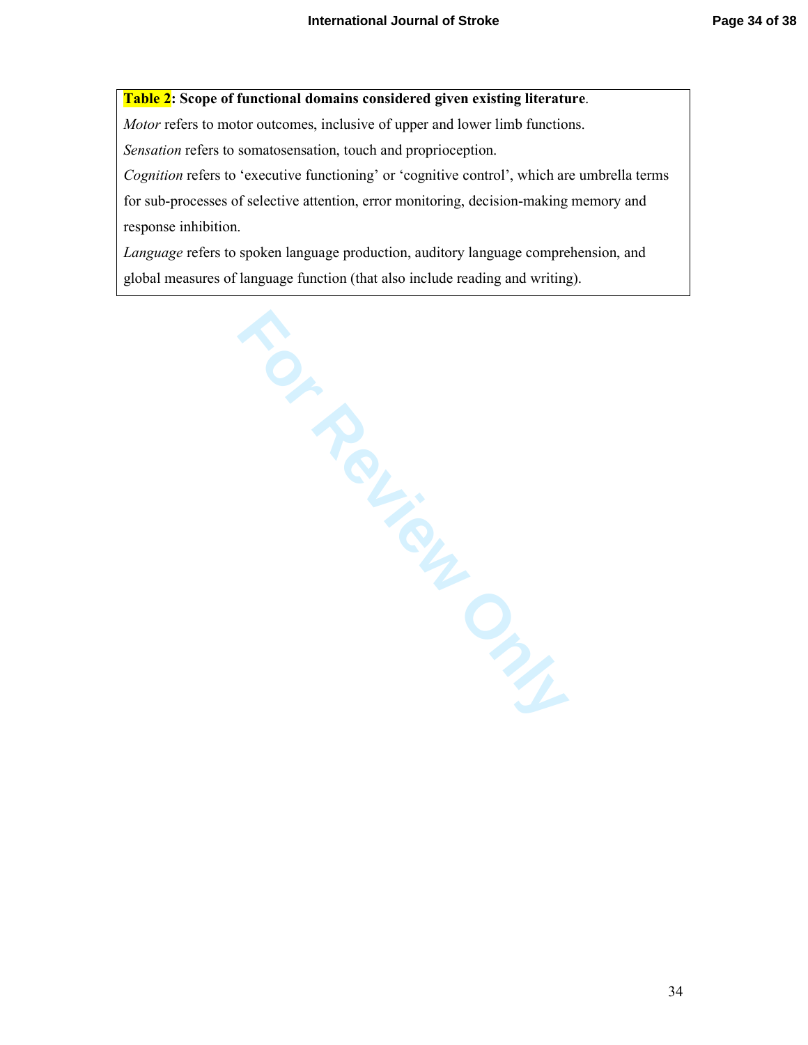# **Table 2: Scope of functional domains considered given existing literature**.

*Motor* refers to motor outcomes, inclusive of upper and lower limb functions.

*Sensation* refers to somatosensation, touch and proprioception.

*Cognition* refers to 'executive functioning' or 'cognitive control', which are umbrella terms for sub-processes of selective attention, error monitoring, decision-making memory and response inhibition.

*Language* refers to spoken language production, auditory language comprehension, and global measures of language function (that also include reading and writing).

Hage function Review Concerns Contractor Concerns Concerns Concerns Concerns Concerns Concerns Concerns Concerns Concerns Concerns Concerns Concerns Concerns Concerns Concerns Concerns Concerns Concerns Concerns Concerns C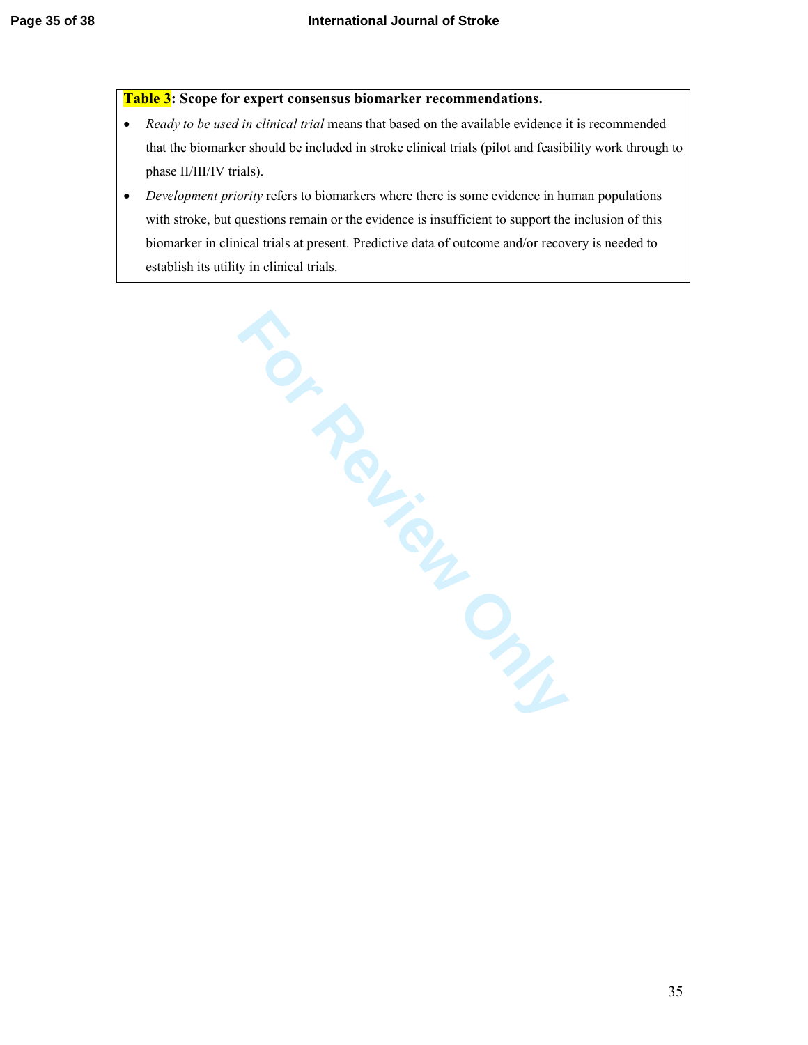### **Table 3: Scope for expert consensus biomarker recommendations.**

- *Ready to be used in clinical trial* means that based on the available evidence it is recommended that the biomarker should be included in stroke clinical trials (pilot and feasibility work through to phase II/III/IV trials).
- *Development priority* refers to biomarkers where there is some evidence in human populations with stroke, but questions remain or the evidence is insufficient to support the inclusion of this biomarker in clinical trials at present. Predictive data of outcome and/or recovery is needed to establish its utility in clinical trials.

Notes Indianas.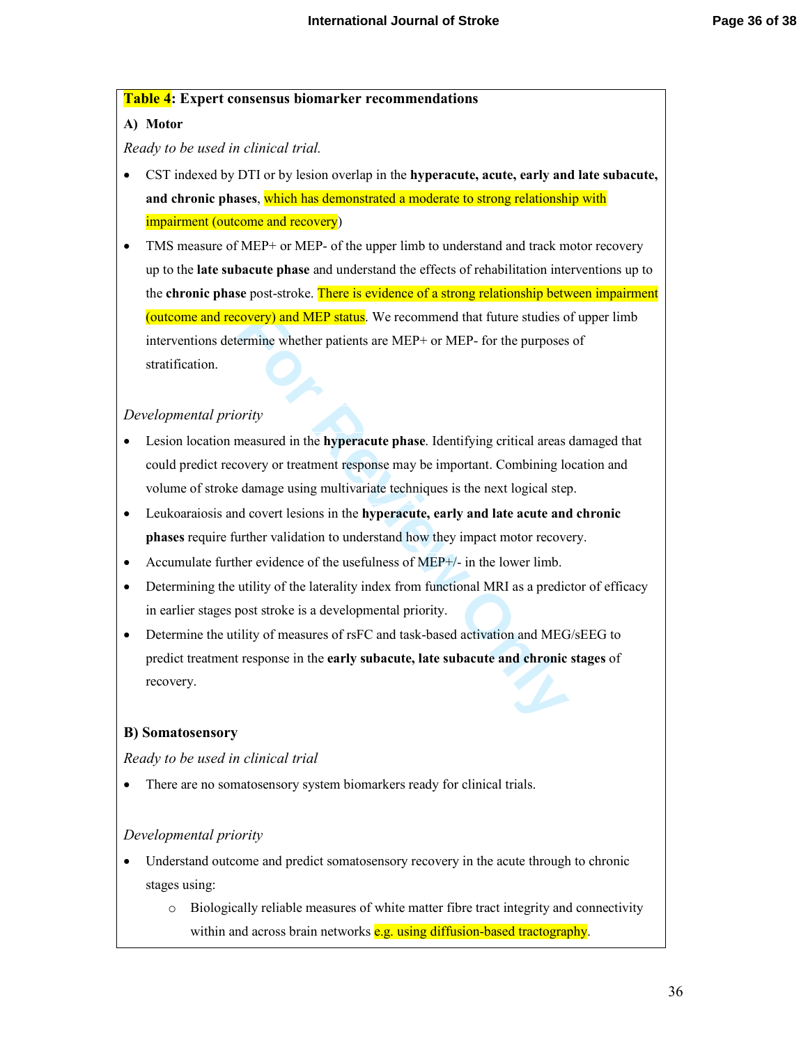### **Table 4: Expert consensus biomarker recommendations**

## **A) Motor**

*Ready to be used in clinical trial.* 

- CST indexed by DTI or by lesion overlap in the **hyperacute, acute, early and late subacute, and chronic phases**, which has demonstrated a moderate to strong relationship with impairment (outcome and recovery)
- TMS measure of MEP+ or MEP- of the upper limb to understand and track motor recovery up to the **late subacute phase** and understand the effects of rehabilitation interventions up to the **chronic phase** post-stroke. There is evidence of a strong relationship between impairment (outcome and recovery) and MEP status. We recommend that future studies of upper limb interventions determine whether patients are MEP+ or MEP- for the purposes of stratification.

## *Developmental priority*

- **Example 15 Solution** We recommend that future studies of errorine whether patients are MEP+ or MEP- for the purposes errorine whether patients are MEP+ or MEP- for the purposes or tradius of the **hyperacute** phase. Identi • Lesion location measured in the **hyperacute phase**. Identifying critical areas damaged that could predict recovery or treatment response may be important. Combining location and volume of stroke damage using multivariate techniques is the next logical step.
- Leukoaraiosis and covert lesions in the **hyperacute, early and late acute and chronic phases** require further validation to understand how they impact motor recovery.
- Accumulate further evidence of the usefulness of MEP $+/-$  in the lower limb.
- Determining the utility of the laterality index from functional MRI as a predictor of efficacy in earlier stages post stroke is a developmental priority.
- Determine the utility of measures of rsFC and task-based activation and MEG/sEEG to predict treatment response in the **early subacute, late subacute and chronic stages** of recovery.

## **B) Somatosensory**

*Ready to be used in clinical trial*

• There are no somatosensory system biomarkers ready for clinical trials.

## *Developmental priority*

- Understand outcome and predict somatosensory recovery in the acute through to chronic stages using:
	- o Biologically reliable measures of white matter fibre tract integrity and connectivity within and across brain networks  $e.g.$  using diffusion-based tractography.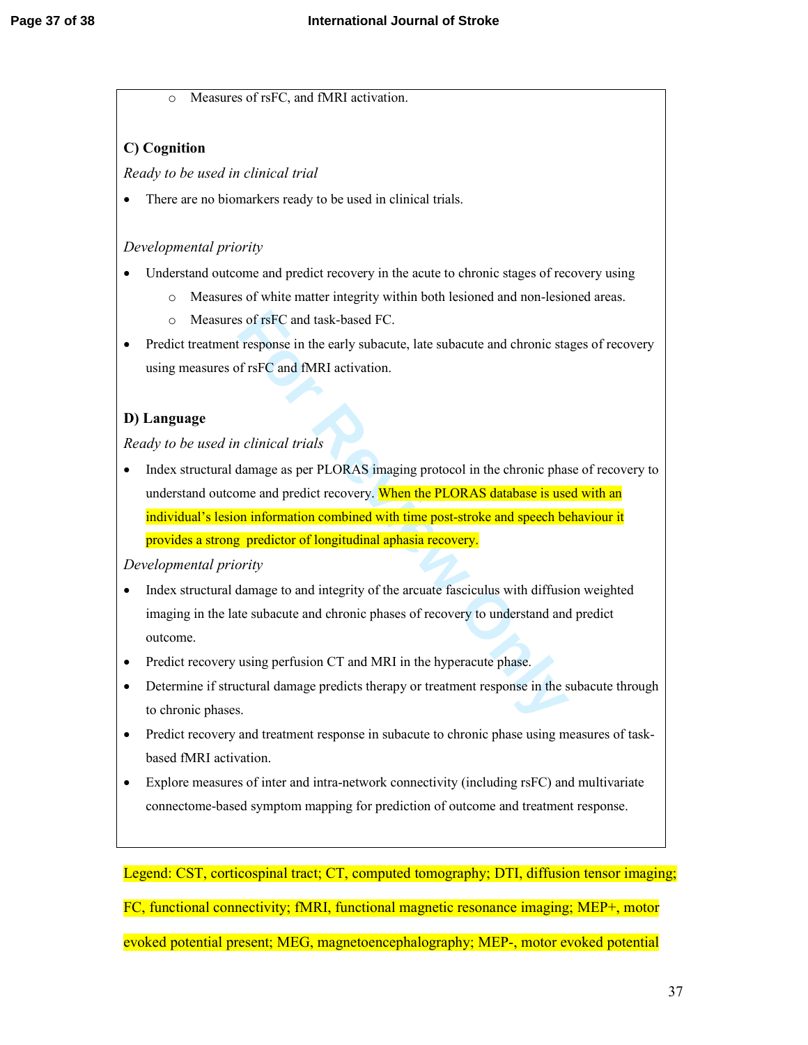o Measures of rsFC, and fMRI activation.

# **C) Cognition**

*Ready to be used in clinical trial*

• There are no biomarkers ready to be used in clinical trials.

# *Developmental priority*

- Understand outcome and predict recovery in the acute to chronic stages of recovery using
	- o Measures of white matter integrity within both lesioned and non-lesioned areas.
	- o Measures of rsFC and task-based FC.
- Predict treatment response in the early subacute, late subacute and chronic stages of recovery using measures of rsFC and fMRI activation.

# **D) Language**

*Ready to be used in clinical trials* 

is of rsFC and task-based FC.<br> **Follow Example 15 For The Example 10** For the subacute and chronic standards fraction.<br> **For EXAMPLE 1999** Condition.<br> **Follow EXAMPL AS EXAMPLE 10** For the proof of the chronic phase and pr • Index structural damage as per PLORAS imaging protocol in the chronic phase of recovery to understand outcome and predict recovery. When the PLORAS database is used with an individual's lesion information combined with time post-stroke and speech behaviour it provides a strong predictor of longitudinal aphasia recovery.

## *Developmental priority*

- Index structural damage to and integrity of the arcuate fasciculus with diffusion weighted imaging in the late subacute and chronic phases of recovery to understand and predict outcome.
- Predict recovery using perfusion CT and MRI in the hyperacute phase.
- Determine if structural damage predicts therapy or treatment response in the subacute through to chronic phases.
- Predict recovery and treatment response in subacute to chronic phase using measures of taskbased fMRI activation.
- Explore measures of inter and intra-network connectivity (including rsFC) and multivariate connectome-based symptom mapping for prediction of outcome and treatment response.

Legend: CST, corticospinal tract; CT, computed tomography; DTI, diffusion tensor imaging; FC, functional connectivity; fMRI, functional magnetic resonance imaging; MEP+, motor evoked potential present; MEG, magnetoencephalography; MEP-, motor evoked potential